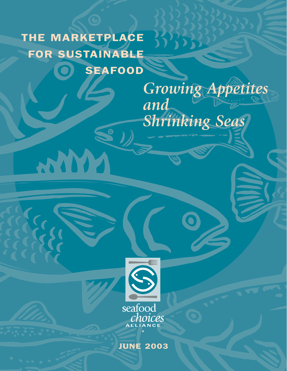# THE MARKETPLACE FOR SUSTAINABLE SEAFOOD

WWW

*Growing Appetites and Shrinking Seas*

 $37333$ 



JUNE 2003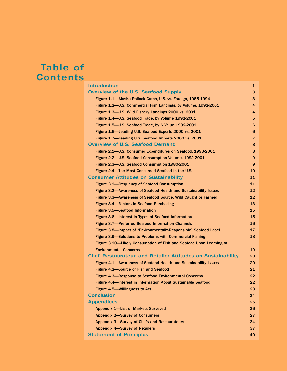# Table of **Contents**

| <b>Introduction</b>                                                 | 1              |
|---------------------------------------------------------------------|----------------|
| <b>Overview of the U.S. Seafood Supply</b>                          | з              |
| Figure 1.1-Alaska Pollock Catch, U.S. vs. Foreign, 1985-1994        | 3              |
| Figure 1.2-U.S. Commercial Fish Landings, by Volume, 1992-2001      | 4              |
| Figure 1.3-U.S. Wild Fishery Landings 2000 vs. 2001                 | 4              |
| Figure 1.4-U.S. Seafood Trade, by Volume 1992-2001                  | 5              |
| Figure 1.5–U.S. Seafood Trade, by \$ Value 1992-2001                | 6              |
| Figure 1.6-Leading U.S. Seafood Exports 2000 vs. 2001               | 6              |
| Figure 1.7-Leading U.S. Seafood Imports 2000 vs. 2001               | $\overline{7}$ |
| <b>Overview of U.S. Seafood Demand</b>                              | 8              |
| Figure 2.1-U.S. Consumer Expenditures on Seafood, 1993-2001         | 8              |
| Figure 2.2-U.S. Seafood Consumption Volume, 1992-2001               | 9              |
| Figure 2.3-U.S. Seafood Consumption 1980-2001                       | 9              |
| Figure 2.4—The Most Consumed Seafood in the U.S.                    | 10             |
| <b>Consumer Attitudes on Sustainability</b>                         | 11             |
| <b>Figure 3.1—Frequency of Seafood Consumption</b>                  | 11             |
| Figure 3.2—Awareness of Seafood Health and Sustainability Issues    | 12             |
| Figure 3.3—Awareness of Seafood Source, Wild Caught or Farmed       | 12             |
| Figure 3.4-Factors in Seafood Purchasing                            | 13             |
| <b>Figure 3.5-Seafood Information</b>                               | 15             |
| Figure 3.6—Interest in Types of Seafood Information                 | 15             |
| <b>Figure 3.7-Preferred Seafood Information Channels</b>            | 16             |
| Figure 3.8-Impact of "Environmentally-Responsible" Seafood Label    | 17             |
| Figure 3.9—Solutions to Problems with Commercial Fishing            | 18             |
| Figure 3.10-Likely Consumption of Fish and Seafood Upon Learning of |                |
| <b>Environmental Concerns</b>                                       | 19             |
| <b>Chef, Restaurateur, and Retailer Attitudes on Sustainability</b> | 20             |
| Figure 4.1—Awareness of Seafood Health and Sustainability Issues    | 20             |
| Figure 4.2-Source of Fish and Seafood                               | 21             |
| <b>Figure 4.3—Response to Seafood Environmental Concerns</b>        | 22             |
| Figure 4.4-Interest in Information About Sustainable Seafood        | 22             |
| Figure 4.5-Willingness to Act                                       | 23             |
| <b>Conclusion</b>                                                   | 24             |
| <b>Appendices</b>                                                   | 25             |
| <b>Appendix 1-List of Markets Surveyed</b>                          | 26             |
| <b>Appendix 2-Survey of Consumers</b>                               | 27             |
| Appendix 3-Survey of Chefs and Restaurateurs                        | 34             |
| <b>Appendix 4-Survey of Retailers</b>                               | 37             |
| <b>Statement of Principles</b>                                      | 40             |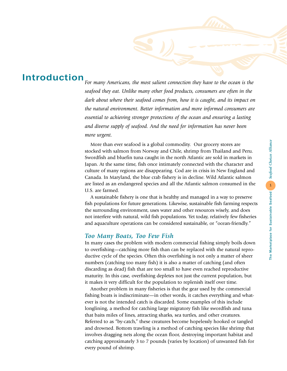# *seafood they eat. Unlike many other food products, consumers are often in the dark about where their seafood comes from, how it is caught, and its impact on the natural environment. Better information and more informed consumers are*

Introduction

*essential to achieving stronger protections of the ocean and ensuring a lasting and diverse supply of seafood. And the need for information has never been more urgent.*

*For many Americans, the most salient connection they have to the ocean is the*

More than ever seafood is a global commodity. Our grocery stores are stocked with salmon from Norway and Chile, shrimp from Thailand and Peru. Swordfish and bluefin tuna caught in the north Atlantic are sold in markets in Japan. At the same time, fish once intimately connected with the character and culture of many regions are disappearing. Cod are in crisis in New England and Canada. In Maryland, the blue crab fishery is in decline. Wild Atlantic salmon are listed as an endangered species and all the Atlantic salmon consumed in the U.S. are farmed.

A sustainable fishery is one that is healthy and managed in a way to preserve fish populations for future generations. Likewise, sustainable fish farming respects the surrounding environment, uses water and other resources wisely, and does not interfere with natural, wild fish populations. Yet today, relatively few fisheries and aquaculture operations can be considered sustainable, or "ocean-friendly."

### *Too Many Boats, Too Few Fish*

In many cases the problem with modern commercial fishing simply boils down to overfishing—catching more fish than can be replaced with the natural reproductive cycle of the species. Often this overfishing is not only a matter of sheer numbers (catching too many fish) it is also a matter of catching (and often discarding as dead) fish that are too small to have even reached reproductive maturity. In this case, overfishing depletes not just the current population, but it makes it very difficult for the population to replenish itself over time.

Another problem in many fisheries is that the gear used by the commercial fishing boats is indiscriminate—in other words, it catches everything and whatever is not the intended catch is discarded. Some examples of this include longlining, a method for catching large migratory fish like swordfish and tuna that baits miles of lines, attracting sharks, sea turtles, and other creatures. Referred to as "by-catch," these creatures become hopelessly hooked or tangled and drowned. Bottom trawling is a method of catching species like shrimp that involves dragging nets along the ocean floor, destroying important habitat and catching approximately 3 to 7 pounds (varies by location) of unwanted fish for every pound of shrimp.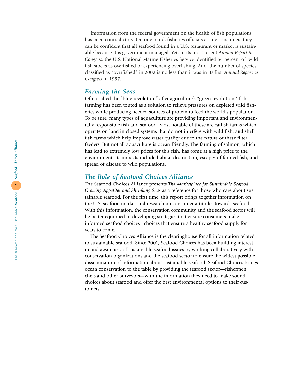Information from the federal government on the health of fish populations has been contradictory. On one hand, fisheries officials assure consumers they can be confident that all seafood found in a U.S. restaurant or market is sustainable because it is government managed. Yet, in its most recent *Annual Report to Congress,* the U.S. National Marine Fisheries Service identified 64 percent of wild fish stocks as overfished or experiencing overfishing. And, the number of species classified as "overfished" in 2002 is no less than it was in its first *Annual Report to Congress* in 1997.

### *Farming the Seas*

Often called the "blue revolution" after agriculture's "green revolution," fish farming has been touted as a solution to relieve pressures on depleted wild fisheries while producing needed sources of protein to feed the world's population. To be sure, many types of aquaculture are providing important and environmentally responsible fish and seafood. Most notable of these are catfish farms which operate on land in closed systems that do not interfere with wild fish, and shellfish farms which help improve water quality due to the nature of these filter feeders. But not all aquaculture is ocean-friendly. The farming of salmon, which has lead to extremely low prices for this fish, has come at a high price to the environment. Its impacts include habitat destruction, escapes of farmed fish, and spread of disease to wild populations.

### *The Role of Seafood Choices Alliance*

The Seafood Choices Alliance presents *The Marketplace for Sustainable Seafood: Growing Appetites and Shrinking Seas* as a reference for those who care about sustainable seafood. For the first time, this report brings together information on the U.S. seafood market and research on consumer attitudes towards seafood. With this information, the conservation community and the seafood sector will be better equipped in developing strategies that ensure consumers make informed seafood choices - choices that ensure a healthy seafood supply for years to come.

The Seafood Choices Alliance is the clearinghouse for all information related to sustainable seafood. Since 2001, Seafood Choices has been building interest in and awareness of sustainable seafood issues by working collaboratively with conservation organizations and the seafood sector to ensure the widest possible dissemination of information about sustainable seafood. Seafood Choices brings ocean conservation to the table by providing the seafood sector—fishermen, chefs and other purveyors—with the information they need to make sound choices about seafood and offer the best environmental options to their customers.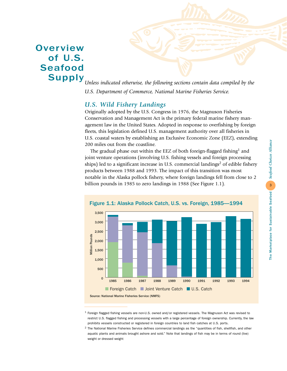# **Overview** of U.S. Seafood Supply



*Unless indicated otherwise, the following sections contain data compiled by the U.S. Department of Commerce, National Marine Fisheries Service.*

# *U.S. Wild Fishery Landings*

Originally adopted by the U.S. Congress in 1976, the Magnuson Fisheries Conservation and Management Act is the primary federal marine fishery management law in the United States. Adopted in response to overfishing by foreign fleets, this legislation defined U.S. management authority over all fisheries in U.S. coastal waters by establishing an Exclusive Economic Zone (EEZ), extending 200 miles out from the coastline.

The gradual phase out within the EEZ of both foreign-flagged fishing<sup>1</sup> and joint venture operations (involving U.S. fishing vessels and foreign processing ships) led to a significant increase in U.S. commercial landings<sup>2</sup> of edible fishery products between 1988 and 1993. The impact of this transition was most notable in the Alaska pollock fishery, where foreign landings fell from close to 2 billion pounds in 1985 to zero landings in 1988 (See Figure 1.1).



 $1$  Foreign flagged fishing vessels are non-U.S. owned and/or registered vessels. The Magnuson Act was revised to restrict U.S. flagged fishing and processing vessels with a large percentage of foreign ownership. Currently, the law prohibits vessels constructed or registered in foreign countries to land fish catches at U.S. ports.

 $2$  The National Marine Fisheries Service defines commercial landings as the "quantities of fish, shellfish, and other aquatic plants and animals brought ashore and sold." Note that landings of fish may be in terms of round (live) weight or dressed weight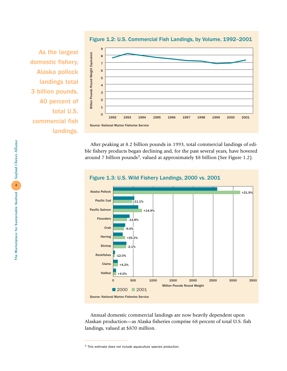

Figure 1.2: U.S. Commercial Fish Landings, by Volume, 1992–2001

As the largest domestic fishery, Alaska pollock landings total 3 billion pounds, 40 percent of total U.S. commercial fish landings.

> After peaking at 8.2 billion pounds in 1993, total commercial landings of edible fishery products began declining and, for the past several years, have hovered around 7 billion pounds<sup>3</sup>, valued at approximately \$8 billion (See Figure 1.2).



Figure 1.3: U.S. Wild Fishery Landings, 2000 vs. 2001

Annual domestic commercial landings are now heavily dependent upon Alaskan production—as Alaska fisheries comprise 68 percent of total U.S. fish landings, valued at \$870 million.

<sup>3</sup> This estimate does not include aquaculture species production.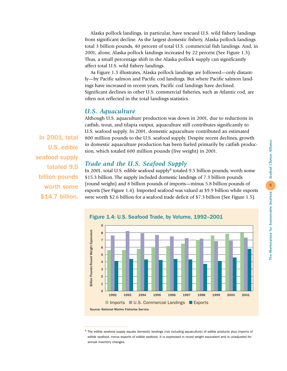Alaska pollock landings, in particular, have rescued U.S. wild fishery landings from significant decline. As the largest domestic fishery, Alaska pollock landings total 3 billion pounds, 40 percent of total U.S. commercial fish landings. And, in 2001, alone, Alaska pollock landings increased by 22 percent (See Figure 1.3). Thus, a small percentage shift in the Alaska pollock supply can significantly affect total U.S. wild fishery landings.

As Figure 1.3 illustrates, Alaska pollock landings are followed—only distantly—by Pacific salmon and Pacific cod landings. But where Pacific salmon landings have increased in recent years, Pacific cod landings have declined. Significant declines in other U.S. commercial fisheries, such as Atlantic cod, are often not reflected in the total landings statistics.

### *U.S. Aquaculture*

Although U.S. aquaculture production was down in 2001, due to reductions in catfish, trout, and tilapia output, aquaculture still contributes significantly to U.S. seafood supply. In 2001, domestic aquaculture contributed an estimated 800 million pounds to the U.S. seafood supply. Despite recent declines, growth in domestic aquaculture production has been fueled primarily by catfish production, which totaled 600 million pounds (live weight) in 2001.

### *Trade and the U.S. Seafood Supply*

In 2001, total U.S. edible seafood supply<sup>4</sup> totaled 9.5 billion pounds, worth some \$15.3 billion. The supply included domestic landings of 7.3 billion pounds (round weight) and 8 billion pounds of imports—minus 5.8 billion pounds of exports (See Figure 1.4). Imported seafood was valued at \$9.9 billion while exports were worth \$2.6 billion for a seafood trade deficit of \$7.3 billion (See Figure 1.5).



<sup>4</sup> The edible seafood supply equals domestic landings (not including aquaculture) of edible products plus imports of edible seafood, minus exports of edible seafood. It is expressed in round weight equivalent and is unadjusted for annual inventory changes.

In 2001, total U.S. edible seafood supply totaled 9.5 billion pounds worth some \$14.7 billion.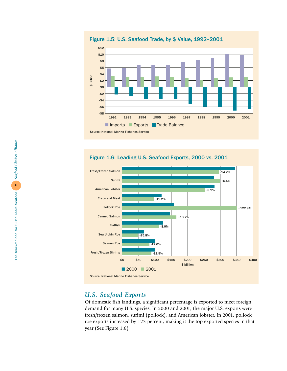Figure 1.5: U.S. Seafood Trade, by \$ Value, 1992–2001







# *U.S. Seafood Exports*

Of domestic fish landings, a significant percentage is exported to meet foreign demand for many U.S. species. In 2000 and 2001, the major U.S. exports were fresh/frozen salmon, surimi (pollock), and American lobster. In 2001, pollock roe exports increased by 123 percent, making it the top exported species in that year (See Figure 1.6)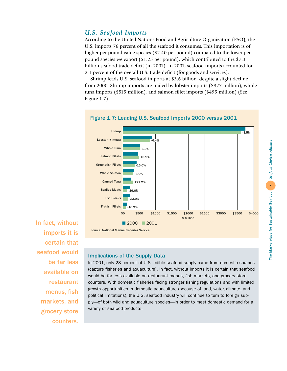# *U.S. Seafood Imports*

According to the United Nations Food and Agriculture Organization (FAO), the U.S. imports 76 percent of all the seafood it consumes. This importation is of higher per pound value species (\$2.40 per pound) compared to the lower per pound species we export (\$1.25 per pound), which contributed to the \$7.3 billion seafood trade deficit (in 2001). In 2001, seafood imports accounted for 2.1 percent of the overall U.S. trade deficit (for goods and services).

Shrimp leads U.S. seafood imports at \$3.6 billion, despite a slight decline from 2000. Shrimp imports are trailed by lobster imports (\$827 million), whole tuna imports (\$515 million), and salmon fillet imports (\$495 million) (See Figure 1.7).



In fact, without imports it is certain that seafood would be far less available on restaurant menus, fish markets, and grocery store counters.

### Implications of the Supply Data

In 2001, only 23 percent of U.S. edible seafood supply came from domestic sources (capture fisheries and aquaculture). In fact, without imports it is certain that seafood would be far less available on restaurant menus, fish markets, and grocery store counters. With domestic fisheries facing stronger fishing regulations and with limited growth opportunities in domestic aquaculture (because of land, water, climate, and political limitations), the U.S. seafood industry will continue to turn to foreign supply—of both wild and aquaculture species—in order to meet domestic demand for a variety of seafood products.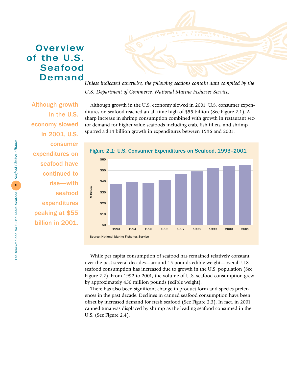# **Overview** of the U.S. Seafood Demand



*Unless indicated otherwise, the following sections contain data compiled by the U.S. Department of Commerce, National Marine Fisheries Service.*

Although growth in the U.S. economy slowed in 2001, U.S. consumer expenditures on seafood have continued to rise—with seafood expenditures peaking at \$55 billion in 2001.

Although growth in the U.S. economy slowed in 2001, U.S. consumer expenditures on seafood reached an all time high of \$55 billion (See Figure 2.1). A sharp increase in shrimp consumption combined with growth in restaurant sector demand for higher value seafoods including crab, fish fillets, and shrimp spurred a \$14 billion growth in expenditures between 1996 and 2001.



While per capita consumption of seafood has remained relatively constant over the past several decades—around 15 pounds edible weight—overall U.S. seafood consumption has increased due to growth in the U.S. population (See Figure 2.2). From 1992 to 2001, the volume of U.S. seafood consumption grew by approximately 450 million pounds (edible weight).

There has also been significant change in product form and species preferences in the past decade. Declines in canned seafood consumption have been offset by increased demand for fresh seafood (See Figure 2.3). In fact, in 2001, canned tuna was displaced by shrimp as the leading seafood consumed in the U.S. (See Figure 2.4).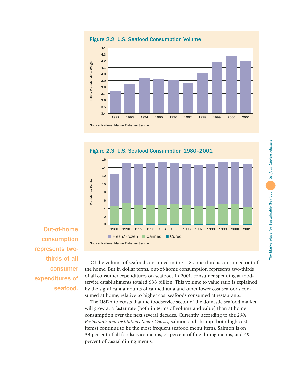

Figure 2.2: U.S. Seafood Consumption Volume



Out-of-home consumption represents twothirds of all consumer expenditures of seafood.

Of the volume of seafood consumed in the U.S., one-third is consumed out of the home. But in dollar terms, out-of-home consumption represents two-thirds of all consumer expenditures on seafood. In 2001, consumer spending at foodservice establishments totaled \$38 billion. This volume to value ratio is explained by the significant amounts of canned tuna and other lower cost seafoods consumed at home, relative to higher cost seafoods consumed at restaurants.

The USDA forecasts that the foodservice sector of the domestic seafood market will grow at a faster rate (both in terms of volume and value) than at-home consumption over the next several decades. Currently, according to the *2001 Restaurants and Institutions Menu Census*, salmon and shrimp (both high cost items) continue to be the most frequent seafood menu items. Salmon is on 39 percent of all foodservice menus, 71 percent of fine dining menus, and 49 percent of casual dining menus.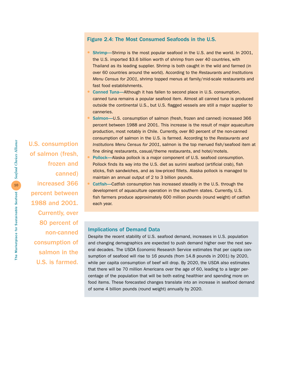### Figure 2.4: The Most Consumed Seafoods in the U.S.

- Shrimp—Shrimp is the most popular seafood in the U.S. and the world. In 2001, the U.S. imported \$3.6 billion worth of shrimp from over 40 countries, with Thailand as its leading supplier. Shrimp is both caught in the wild and farmed (in over 60 countries around the world). According to the *Restaurants and Institutions Menu Census for 2001*, shrimp topped menus at family/mid-scale restaurants and fast food establishments.
- Canned Tuna—Although it has fallen to second place in U.S. consumption, canned tuna remains a popular seafood item. Almost all canned tuna is produced outside the continental U.S., but U.S. flagged vessels are still a major supplier to canneries.
- Salmon-U.S. consumption of salmon (fresh, frozen and canned) increased 366 percent between 1988 and 2001. This increase is the result of major aquaculture production, most notably in Chile. Currently, over 80 percent of the non-canned consumption of salmon in the U.S. is farmed. According to the *Restaurants and Institutions Menu Census for 2001*, salmon is the top menued fish/seafood item at fine dining restaurants, casual/theme restaurants, and hotel/motels.
- Pollock—Alaska pollock is a major component of U.S. seafood consumption. Pollock finds its way into the U.S. diet as surimi seafood (artificial crab), fish sticks, fish sandwiches, and as low-priced fillets. Alaska pollock is managed to maintain an annual output of 2 to 3 billion pounds.
- Catfish—Catfish consumption has increased steadily in the U.S. through the development of aquaculture operation in the southern states. Currently, U.S. fish farmers produce approximately 600 million pounds (round weight) of catfish each year.

### Implications of Demand Data

Despite the recent stability of U.S. seafood demand, increases in U.S. population and changing demographics are expected to push demand higher over the next several decades. The USDA Economic Research Service estimates that per capita consumption of seafood will rise to 16 pounds (from 14.8 pounds in 2001) by 2020, while per capita consumption of beef will drop. By 2020, the USDA also estimates that there will be 70 million Americans over the age of 60, leading to a larger percentage of the population that will be both eating healthier and spending more on food items. These forecasted changes translate into an increase in seafood demand of some 4 billion pounds (round weight) annually by 2020.

U.S. consumption of salmon (fresh, frozen and canned) increased 366 percent between 1988 and 2001. Currently, over 80 percent of non-canned consumption of salmon in the U.S. is farmed.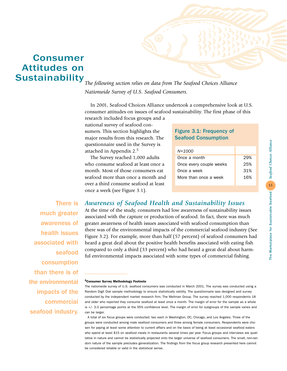# Consumer Attitudes on **Sustainability**

*The following section relies on data from The Seafood Choices Alliance Nationwide Survey of U.S. Seafood Consumers.*

In 2001, Seafood Choices Alliance undertook a comprehensive look at U.S. consumer attitudes on issues of seafood sustainability. The first phase of this research included focus groups and a

national survey of seafood consumers. This section highlights the major results from this research. The questionnaire used in the Survey is attached in Appendix 2.<sup>5</sup>

The Survey reached 1,000 adults who consume seafood at least once a month. Most of those consumers eat seafood more than once a month and over a third consume seafood at least once a week (see Figure 3.1).

### Figure 3.1: Frequency of Seafood Consumption

| 29% |
|-----|
| 25% |
| 31% |
| 16% |
|     |

There is much greater awareness of health issues associated with seafood consumption than there is of the environmental impacts of the commercial seafood industry.

*Awareness of Seafood Health and Sustainability Issues*

At the time of the study, consumers had low awareness of sustainability issues associated with the capture or production of seafood. In fact, there was much greater awareness of health issues associated with seafood consumption than there was of the environmental impacts of the commercial seafood industry (See Figure 3.2). For example, more than half (57 percent) of seafood consumers had heard a great deal about the positive health benefits associated with eating fish compared to only a third (33 percent) who had heard a great deal about harmful environmental impacts associated with some types of commercial fishing.

#### 5Consumer Survey Methodology Footnote

The nationwide survey of U.S. seafood consumers was conducted in March 2001. The survey was conducted using a Random Digit Dial sample methodology to ensure statistically validity. The questionnaire was designed and survey conducted by the independent market research firm, The Mellman Group. The survey reached 1,000 respondents 18 and older who reported they consume seafood at least once a month. The margin of error for the sample as a whole is +/- 3.0 percentage points at the 95% confidence level. The margin of error for subgroups of the sample varies and can be larger.

A total of six focus groups were conducted; two each in Washington, DC, Chicago, and Los Angeles. Three of the groups were conducted among male seafood consumers and three among female consumers. Respondents were chosen for paying at least some attention to current affairs and on the basis of being at least occasional seafood eaters who spend at least \$15 on seafood meals in restaurants several times per year. Focus groups and interviews are qualitative in nature and cannot be statistically projected onto the larger universe of seafood consumers. The small, non-random nature of the sample precludes generalization. The findings from the focus group research presented here cannot be considered reliable or valid in the statistical sense.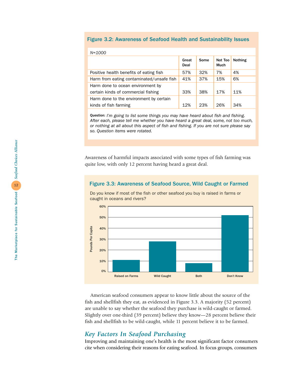### Figure 3.2: Awareness of Seafood Health and Sustainability Issues

| $N = 1000$                                |               |      |                 |         |
|-------------------------------------------|---------------|------|-----------------|---------|
|                                           | Great<br>Deal | Some | Not Too<br>Much | Nothing |
| Positive health benefits of eating fish   | 57%           | 32%  | 7%              | 4%      |
| Harm from eating contaminated/unsafe fish | 41%           | 37%  | 15%             | 6%      |
| Harm done to ocean environment by         |               |      |                 |         |
| certain kinds of commercial fishing       | 33%           | 38%  | 17%             | 11%     |
| Harm done to the environment by certain   |               |      |                 |         |
| kinds of fish farming                     | 12%           | 23%  | 26%             | 34%     |

Question: *I'm going to list some things you may have heard about fish and fishing. After each, please tell me whether you have heard a great deal, some, not too much, or nothing at all about this aspect of fish and fishing. If you are not sure please say so. Question items were rotated.*

Awareness of harmful impacts associated with some types of fish farming was quite low, with only 12 percent having heard a great deal.

### Figure 3.3: Awareness of Seafood Source, Wild Caught or Farmed

Do you know if most of the fish or other seafood you buy is raised in farms or caught in oceans and rivers?



American seafood consumers appear to know little about the source of the fish and shellfish they eat, as evidenced in Figure 3.3. A majority (52 percent) are unable to say whether the seafood they purchase is wild-caught or farmed. Slightly over one-third (39 percent) believe they know—28 percent believe their fish and shellfish to be wild-caught, while 11 percent believe it to be farmed.

### *Key Factors In Seafood Purchasing*

Improving and maintaining one's health is the most significant factor consumers cite when considering their reasons for eating seafood. In focus groups, consumers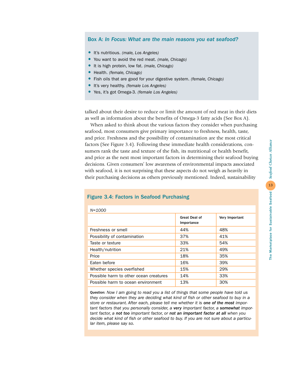### Box A: *In Focus: What are the main reasons you eat seafood?*

- It's nutritious. *(male, Los Angeles)*
- You want to avoid the red meat. *(male, Chicago)*
- It is high protein, low fat. *(male, Chicago)*
- Health. *(female, Chicago)*
- Fish oils that are good for your digestive system. *(female, Chicago)*
- It's very healthy. *(female Los Angeles)*
- Yes, it's got Omega-3. *(female Los Angeles)*

talked about their desire to reduce or limit the amount of red meat in their diets as well as information about the benefits of Omega-3 fatty acids (See Box A).

When asked to think about the various factors they consider when purchasing seafood, most consumers give primary importance to freshness, health, taste, and price. Freshness and the possibility of contamination are the most critical factors (See Figure 3.4). Following these immediate health considerations, consumers rank the taste and texture of the fish, its nutritional or health benefit, and price as the next most important factors in determining their seafood buying decisions. Given consumers' low awareness of environmental impacts associated with seafood, it is not surprising that these aspects do not weigh as heavily in their purchasing decisions as others previously mentioned. Indeed, sustainability

| <b>Great Deal of</b><br>Importance | Very Important |
|------------------------------------|----------------|
| 44%                                | 48%            |
| 37%                                | 41%            |
| 33%                                | 54%            |
| 21%                                | 49%            |
| 18%                                | 35%            |
| 16%                                | 39%            |
| 15%                                | 29%            |
| 14%                                | 33%            |
| 13%                                | 30%            |
|                                    |                |

### Figure 3.4: Factors in Seafood Purchasing

*N=1000*

Question: *Now I am going to read you a list of things that some people have told us they consider when they are deciding what kind of fish or other seafood to buy in a store or restaurant. After each, please tell me whether it is one of the most important factors that you personally consider, a very important factor, a somewhat important factor, a not too important factor, or not an important factor at all when you decide what kind of fish or other seafood to buy. If you are not sure about a particular item, please say so.*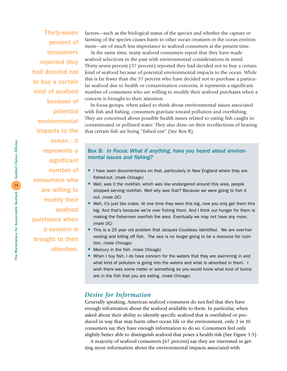Thirty-seven percent of consumers reported they had decided not to buy a certain kind of seafood because of potential environmental impacts to the ocean…it

represents a significant number of consumers who are willing to modify their seafood purchases when a concern is brought to their attention.

factors—such as the biological status of the species and whether the capture or farming of the species causes harm to other ocean creatures or the ocean environment—are of much less importance to seafood consumers at the present time.

At the same time, many seafood consumers report that they have made seafood selections in the past with environmental considerations in mind. Thirty-seven percent (37 percent) reported they had decided not to buy a certain kind of seafood because of potential environmental impacts to the ocean. While this is far fewer than the 57 percent who have decided not to purchase a particular seafood due to health or contamination concerns, it represents a significant number of consumers who are willing to modify their seafood purchases when a concern is brought to their attention.

In focus groups, when asked to think about environmental issues associated with fish and fishing, consumers gravitate toward pollution and overfishing. They are concerned about possible health issues related to eating fish caught in contaminated or polluted water. They also draw on their recollections of hearing that certain fish are being "fished-out" (See Box B).

### Box B: *In Focus: What if anything, have you heard about environmental issues and fishing?*

- I have seen documentaries on that, particularly in New England where they are fished-out. *(male Chicago)*
- Well, was it the rockfish, which was like endangered around this area, people stopped serving rockfish. Well why was that? Because we were going to fish it out. *(male DC)*
- Well, it's just like crabs. At one time they were this big, now you only get them this big. And that's because we're over fishing them. And I think our hunger for them is making the fishermen overfish the area. Eventually we may not have any more. *(male DC)*
- This is a 25 year old problem that Jacques Cousteau identified. We are over-harvesting and killing off fish. The sea is no longer going to be a resource for nutrition. *(male Chicago)*
- Mercury in the fish. *(male Chicago)*
- When I buy fish, I do have concern for the waters that they are swimming in and what kind of pollution is going into the waters and what is absorbed in them. I wish there was some meter or something so you would know what kind of toxins are in the fish that you are eating. *(male Chicago)*

### *Desire for Information*

Generally speaking, American seafood consumers do not feel that they have enough information about the seafood available to them. In particular, when asked about their ability to identify specific seafood that is overfished or produced in way that may harm other ocean life or the environment, only 2 in 10 consumers say they have enough information to do so. Consumers feel only slightly better able to distinguish seafood that poses a health risk (See Figure 3.5).

A majority of seafood consumers (67 percent) say they are interested in getting more information about the environmental impacts associated with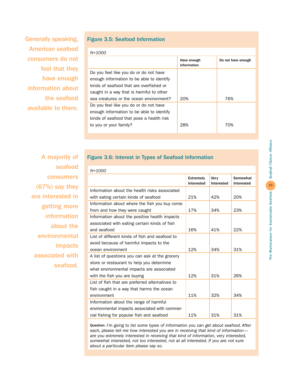Generally speaking, American seafood consumers do not feel that they have enough information about the seafood available to them.

### Figure 3.5: Seafood Information

*N=1000*

| $IV-LUU$                                                                                                                        |                            |                    |
|---------------------------------------------------------------------------------------------------------------------------------|----------------------------|--------------------|
|                                                                                                                                 | Have enough<br>information | Do not have enough |
| Do you feel like you do or do not have<br>enough information to be able to identify<br>kinds of seafood that are overfished or  |                            |                    |
| caught in a way that is harmful to other<br>sea creatures or the ocean environment?                                             | 20%                        | 76%                |
| Do you feel like you do or do not have<br>enough information to be able to identify<br>kinds of seafood that pose a health risk |                            |                    |
| to you or your family?                                                                                                          | 28%                        | 70%                |

A majority of seafood consumers (67%) say they are interested in getting more information about the environmental impacts associated with seafood.

### Figure 3.6: Interest in Types of Seafood Information

| $N = 1000$                                      |                         |                    |                        |
|-------------------------------------------------|-------------------------|--------------------|------------------------|
|                                                 | Extremely<br>Interested | Very<br>Interested | Somewhat<br>Interested |
| Information about the health risks associated   |                         |                    |                        |
| with eating certain kinds of seafood            | 21%                     | 42%                | 20%                    |
| Information about where the fish you buy come   |                         |                    |                        |
| from and how they were caught                   | 17%                     | 34%                | 23%                    |
| Information about the positive health impacts   |                         |                    |                        |
| associated with eating certain kinds of fish    |                         |                    |                        |
| and seafood                                     | 16%                     | 41%                | 22%                    |
| List of different kinds of fish and seafood to  |                         |                    |                        |
| avoid because of harmful impacts to the         |                         |                    |                        |
| ocean environment                               | 12%                     | 34%                | 31%                    |
| A list of questions you can ask at the grocery  |                         |                    |                        |
| store or restaurant to help you determine       |                         |                    |                        |
| what environmental impacts are associated       |                         |                    |                        |
| with the fish you are buying                    | 12%                     | 31%                | 26%                    |
| List of fish that are preferred alternatives to |                         |                    |                        |
| fish caught in a way that harms the ocean       |                         |                    |                        |
| environment                                     | 11%                     | 32%                | 34%                    |
| Information about the range of harmful          |                         |                    |                        |
| environmental impacts associated with commer-   |                         |                    |                        |
| cial fishing for popular fish and seafood       | 11%                     | 31%                | 31%                    |

Question: *I'm going to list some types of information you can get about seafood. After each, please tell me how interested you are in receiving that kind of information are you extremely interested in receiving that kind of information, very interested, somewhat interested, not too interested, not at all interested. If you are not sure about a particular item please say so.*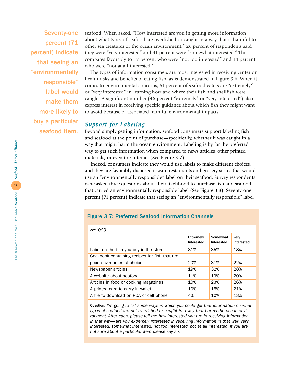Seventy-one percent (71 percent) indicate that seeing an "environmentally responsible" label would make them more likely to buy a particular seafood item.

seafood. When asked, "How interested are you in getting more information about what types of seafood are overfished or caught in a way that is harmful to other sea creatures or the ocean environment," 26 percent of respondents said they were "very interested" and 41 percent were "somewhat interested." This compares favorably to 17 percent who were "not too interested" and 14 percent who were "not at all interested."

The types of information consumers are most interested in receiving center on health risks and benefits of eating fish, as is demonstrated in Figure 3.6. When it comes to environmental concerns, 51 percent of seafood eaters are "extremely" or "very interested" in learning how and where their fish and shellfish were caught. A significant number (46 percent "extremely" or "very interested") also express interest in receiving specific guidance about which fish they might want to avoid because of associated harmful environmental impacts.

### *Support for Labeling*

Beyond simply getting information, seafood consumers support labeling fish and seafood at the point of purchase—specifically, whether it was caught in a way that might harm the ocean environment. Labeling is by far the preferred way to get such information when compared to news articles, other printed materials, or even the Internet (See Figure 3.7).

Indeed, consumers indicate they would use labels to make different choices, and they are favorably disposed toward restaurants and grocery stores that would use an "environmentally responsible" label on their seafood. Survey respondents were asked three questions about their likelihood to purchase fish and seafood that carried an environmentally responsible label (See Figure 3.8). Seventy-one percent (71 percent) indicate that seeing an "environmentally responsible" label

### Figure 3.7: Preferred Seafood Information Channels

| $N = 1000$                                    |                                |                        |                    |
|-----------------------------------------------|--------------------------------|------------------------|--------------------|
|                                               | <b>Extremely</b><br>Interested | Somewhat<br>Interested | Verv<br>interested |
| Label on the fish you buy in the store        | 31%                            | 35%                    | 18%                |
| Cookbook containing recipes for fish that are |                                |                        |                    |
| good environmental choices                    | 20%                            | 31%                    | 22%                |
| Newspaper articles                            | 19%                            | 32%                    | 28%                |
| A website about seafood                       | 11%                            | 19%                    | 20%                |
| Articles in food or cooking magazines         | 10%                            | 23%                    | 26%                |
| A printed card to carry in wallet             | 10%                            | 15%                    | 21%                |
| A file to download on PDA or cell phone       | 4%                             | 10%                    | 13%                |

Question: *I'm going to list some ways in which you could get that information on what types of seafood are not overfished or caught in a way that harms the ocean environment. After each, please tell me how interested you are in receiving information in that way—are you extremely interested in receiving information in that way, very interested, somewhat interested, not too interested, not at all interested. If you are not sure about a particular item please say so.*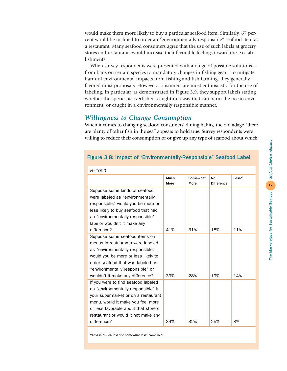would make them more likely to buy a particular seafood item. Similarly, 67 percent would be inclined to order an "environmentally responsible" seafood item at a restaurant. Many seafood consumers agree that the use of such labels at grocery stores and restaurants would increase their favorable feelings toward these establishments.

When survey respondents were presented with a range of possible solutions from bans on certain species to mandatory changes in fishing gear—to mitigate harmful environmental impacts from fishing and fish farming, they generally favored most proposals. However, consumers are most enthusiastic for the use of labeling. In particular, as demonstrated in Figure 3.9, they support labels stating whether the species is overfished, caught in a way that can harm the ocean environment, or caught in a environmentally responsible manner.

### *Willingness to Change Consumption*

When it comes to changing seafood consumers' dining habits, the old adage "there are plenty of other fish in the sea" appears to hold true. Survey respondents were willing to reduce their consumption of or give up any type of seafood about which

### Figure 3.8: Impact of "Environmentally-Responsible" Seafood Label

| <u>11-1000 </u>                       |                     |                         |                         |                         |
|---------------------------------------|---------------------|-------------------------|-------------------------|-------------------------|
|                                       | Much<br><b>More</b> | Somewhat<br><b>More</b> | No<br><b>Difference</b> | $\textsf{Less}^{\star}$ |
| Suppose some kinds of seafood         |                     |                         |                         |                         |
| were labeled as "environmentally      |                     |                         |                         |                         |
| responsible," would you be more or    |                     |                         |                         |                         |
| less likely to buy seafood that had   |                     |                         |                         |                         |
| an "environmentally responsible"      |                     |                         |                         |                         |
| labelor wouldn't it make any          |                     |                         |                         |                         |
| difference?                           | 41%                 | 31%                     | 18%                     | 11%                     |
| Suppose some seafood items on         |                     |                         |                         |                         |
| menus in restaurants were labeled     |                     |                         |                         |                         |
| as "environmentally responsible,"     |                     |                         |                         |                         |
| would you be more or less likely to   |                     |                         |                         |                         |
| order seafood that was labeled as     |                     |                         |                         |                         |
| "environmentally responsible" or      |                     |                         |                         |                         |
| wouldn't it make any difference?      | 39%                 | 28%                     | 19%                     | 14%                     |
| If you were to find seafood labeled   |                     |                         |                         |                         |
| as "environmentally responsible" in   |                     |                         |                         |                         |
| your supermarket or on a restaurant   |                     |                         |                         |                         |
| menu, would it make you feel more     |                     |                         |                         |                         |
| or less favorable about that store or |                     |                         |                         |                         |
| restaurant or would it not make any   |                     |                         |                         |                         |
| difference?                           | 34%                 | 32%                     | 25%                     | 8%                      |

*N=1000*

\*Less is "much less "&" somewhat less" combined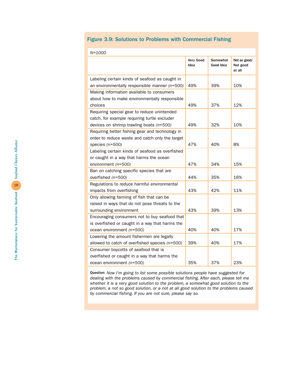### Figure 3.9: Solutions to Problems with Commercial Fishing

| $N = 1000$                                       |                   |                       |                                    |
|--------------------------------------------------|-------------------|-----------------------|------------------------------------|
|                                                  | Very Good<br>Idea | Somewhat<br>Good Idea | Not so good/<br>Not good<br>at all |
| Labeling certain kinds of seafood as caught in   |                   |                       |                                    |
| an environmentally responsible manner $(n=500)$  | 49%               | 39%                   | 10%                                |
| Making information available to consumers        |                   |                       |                                    |
| about how to make environmentally responsible    |                   |                       |                                    |
| choices                                          | 49%               | 37%                   | 12%                                |
| Requiring special gear to reduce unintended      |                   |                       |                                    |
| catch, for example requiring turtle excluder     |                   |                       |                                    |
| devices on shrimp trawling boats $(n=500)$       | 49%               | 32%                   | 10%                                |
| Requiring better fishing gear and technology in  |                   |                       |                                    |
| order to reduce waste and catch only the target  |                   |                       |                                    |
| species $(n=500)$                                | 47%               | 40%                   | 8%                                 |
| Labeling certain kinds of seafood as overfished  |                   |                       |                                    |
| or caught in a way that harms the ocean          |                   |                       |                                    |
| environment (n=500)                              | 47%               | 34%                   | 15%                                |
| Ban on catching specific species that are        |                   |                       |                                    |
| overfished (n=500)                               | 44%               | 35%                   | 16%                                |
| Regulations to reduce harmful environmental      |                   |                       |                                    |
| impacts from overfishing                         | 43%               | 42%                   | 11%                                |
| Only allowing farming of fish that can be        |                   |                       |                                    |
| raised in ways that do not pose threats to the   |                   |                       |                                    |
| surrounding environment                          | 43%               | 39%                   | 13%                                |
| Encouraging consumers not to buy seafood that    |                   |                       |                                    |
| is overfished or caught in a way that harms the  |                   |                       |                                    |
| ocean environment (n=500)                        | 40%               | 40%                   | 17%                                |
| Lowering the amount fishermen are legally        |                   |                       |                                    |
| allowed to catch of overfished species $(n=500)$ | 39%               | 40%                   | 17%                                |
| Consumer boycotts of seafood that is             |                   |                       |                                    |
| overfished or caught in a way that harms the     |                   |                       |                                    |
| ocean environment (n=500)                        | 35%               | 37%                   | 23%                                |

Question: *Now I'm going to list some possible solutions people have suggested for dealing with the problems caused by commercial fishing. After each, please tell me whether it is a very good solution to the problem, a somewhat good solution to the problem, a not so good solution, or a not at all good solution to the problems caused by commercial fishing. If you are not sure, please say so.*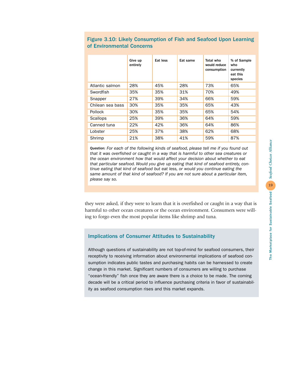| 19<br>- |  |
|---------|--|
| Ï<br>l  |  |

|                  | Give up<br>entirely | Eat less | Eat same | Total who<br>would reduce<br>consumption | % of Sample<br>who<br>currently<br>eat this<br>species |
|------------------|---------------------|----------|----------|------------------------------------------|--------------------------------------------------------|
| Atlantic salmon  | 28%                 | 45%      | 28%      | 73%                                      | 65%                                                    |
| Swordfish        | 35%                 | 35%      | 31%      | 70%                                      | 49%                                                    |
| Snapper          | 27%                 | 39%      | 34%      | 66%                                      | 59%                                                    |
| Chilean sea bass | 30%                 | 35%      | 35%      | 65%                                      | 43%                                                    |
| <b>Pollock</b>   | 30%                 | 35%      | 35%      | 65%                                      | 54%                                                    |
| Scallops         | 25%                 | 39%      | 36%      | 64%                                      | 59%                                                    |
| Canned tuna      | 22%                 | 42%      | 36%      | 64%                                      | 86%                                                    |
| Lobster          | 25%                 | 37%      | 38%      | 62%                                      | 68%                                                    |
| Shrimp           | 21%                 | 38%      | 41%      | 59%                                      | 87%                                                    |
|                  |                     |          |          |                                          |                                                        |

### Figure 3.10: Likely Consumption of Fish and Seafood Upon Learning of Environmental Concerns

Question: *For each of the following kinds of seafood, please tell me if you found out that it was overfished or caught in a way that is harmful to other sea creatures or the ocean environment how that would affect your decision about whether to eat that particular seafood. Would you give up eating that kind of seafood entirely, continue eating that kind of seafood but eat less, or would you continue eating the same amount of that kind of seafood? If you are not sure about a particular item, please say so.*

they were asked, if they were to learn that it is overfished or caught in a way that is harmful to other ocean creatures or the ocean environment. Consumers were willing to forgo even the most popular items like shrimp and tuna.

### Implications of Consumer Attitudes to Sustainability

Although questions of sustainability are not top-of-mind for seafood consumers, their receptivity to receiving information about environmental implications of seafood consumption indicates public tastes and purchasing habits can be harnessed to create change in this market. Significant numbers of consumers are willing to purchase "ocean-friendly" fish once they are aware there is a choice to be made. The coming decade will be a critical period to influence purchasing criteria in favor of sustainability as seafood consumption rises and this market expands.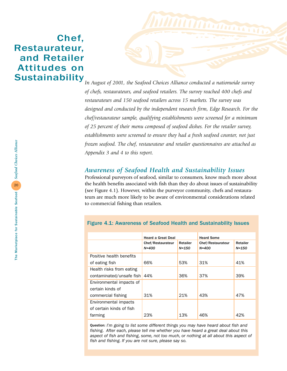# Chef, Restaurateur, and Retailer Attitudes on **Sustainability**



*In August of 2001, the Seafood Choices Alliance conducted a nationwide survey of chefs, restaurateurs, and seafood retailers. The survey reached 400 chefs and restaurateurs and 150 seafood retailers across 15 markets. The survey was designed and conducted by the independent research firm, Edge Research. For the chef/restaurateur sample, qualifying establishments were screened for a minimum of 25 percent of their menu composed of seafood dishes. For the retailer survey, establishments were screened to ensure they had a fresh seafood counter, not just frozen seafood. The chef, restaurateur and retailer questionnaires are attached as Appendix 3 and 4 to this report.* 

### *Awareness of Seafood Health and Sustainability Issues*

Professional purveyors of seafood, similar to consumers, know much more about the health benefits associated with fish than they do about issues of sustainability (see Figure 4.1). However, within the purveyor community, chefs and restaurateurs are much more likely to be aware of environmental considerations related to commercial fishing than retailers.

Figure 4.1: Awareness of Seafood Health and Sustainability Issues

|                          | <b>Heard a Great Deal</b>      |                   | <b>Heard Some</b>              |                   |
|--------------------------|--------------------------------|-------------------|--------------------------------|-------------------|
|                          | Chef/Restaurateur<br>$N = 400$ | Retailer<br>N=150 | Chef/Restaurateur<br>$N = 400$ | Retailer<br>N=150 |
| Positive health benefits |                                |                   |                                |                   |
| of eating fish           | 66%                            | 53%               | 31%                            | 41%               |
| Health risks from eating |                                |                   |                                |                   |
| contaminated/unsafe fish | 44%                            | 36%               | 37%                            | 39%               |
| Environmental impacts of |                                |                   |                                |                   |
| certain kinds of         |                                |                   |                                |                   |
| commercial fishing       | 31%                            | 21%               | 43%                            | 47%               |
| Environmental impacts    |                                |                   |                                |                   |
| of certain kinds of fish |                                |                   |                                |                   |
| farming                  | 23%                            | 13%               | 46%                            | 42%               |

#### Question: *I'm going to list some different things you may have heard about fish and fishing. After each, please tell me whether you have heard a great deal about this aspect of fish and fishing, some, not too much, or nothing at all about this aspect of fish and fishing. If you are not sure, please say so.*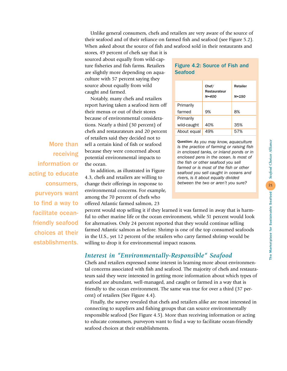Unlike general consumers, chefs and retailers are very aware of the source of their seafood and of their reliance on farmed fish and seafood (see Figure 5.2). When asked about the source of fish and seafood sold in their restaurants and

**Seafood** 

Primarily

Primarily

Figure 4.2: Source of Fish and

Restaurateur

farmed 9% 8%

wild-caught 40% | 35% About equal 49% 87%

Question: *As you may know, aquaculture is the practice of farming or raising fish in enclosed tanks, or inland ponds or in enclosed pens in the ocean. Is most of the fish or other seafood you sell farmed or is most of the fish or other seafood you sell caught in oceans and rivers, is it about equally divided between the two or aren't you sure?*

Chef/ Retailer

*N=400 N=150*

stores, 49 percent of chefs say that it is sourced about equally from wild-capture fisheries and fish farms. Retailers are slightly more depending on aquaculture with 57 percent saying they source about equally from wild caught and farmed.

Notably, many chefs and retailers report having taken a seafood item off their menus or out of their stores because of environmental considerations. Nearly a third (30 percent) of chefs and restaurateurs and 20 percent of retailers said they decided not to sell a certain kind of fish or seafood because they were concerned about potential environmental impacts to the ocean.

In addition, as illustrated in Figure 4.3, chefs and retailers are willing to change their offerings in response to environmental concerns. For example, among the 70 percent of chefs who offered Atlantic farmed salmon, 23

percent would stop selling it if they learned it was farmed in away that is harmful to other marine life or the ocean environment, while 51 percent would look for alternatives. Only 24 percent reported that they would continue selling farmed Atlantic salmon as before. Shrimp is one of the top consumed seafoods in the U.S., yet 12 percent of the retailers who carry farmed shrimp would be willing to drop it for environmental impact reasons.

## *Interest in "Environmentally-Responsible" Seafood*

Chefs and retailers expressed some interest in learning more about environmental concerns associated with fish and seafood. The majority of chefs and restaurateurs said they were interested in getting more information about which types of seafood are abundant, well-managed, and caught or farmed in a way that is friendly to the ocean environment. The same was true for over a third (37 percent) of retailers (See Figure 4.4).

Finally, the survey revealed that chefs and retailers alike are most interested in connecting to suppliers and fishing groups that can source environmentally responsible seafood (See Figure 4.5). More than receiving information or acting to educate consumers, purveyors want to find a way to facilitate ocean-friendly seafood choices at their establishments.

More than receiving information or acting to educate consumers, purveyors want to find a way to facilitate oceanfriendly seafood choices at their establishments.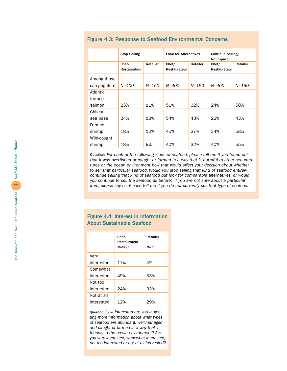|               | <b>Stop Selling</b>   |          | <b>Look for Alternatives</b> |                                   | Continue Selling/<br>No impact |           |
|---------------|-----------------------|----------|------------------------------|-----------------------------------|--------------------------------|-----------|
|               | Chef/<br>Restaurateur | Retailer | Chef/<br>Restaurateur        | Retailer<br>Chef/<br>Restaurateur |                                | Retailer  |
| Among those   |                       |          |                              |                                   |                                |           |
| carrying item | $N = 400$             | N=150    | $N = 400$                    | N=150                             | $N = 400$                      | $N = 150$ |
| Atlantic      |                       |          |                              |                                   |                                |           |
| farmed        |                       |          |                              |                                   |                                |           |
| salmon        | 23%                   | 11%      | 51%                          | 32%                               | 24%                            | 58%       |
| Chilean       |                       |          |                              |                                   |                                |           |
| sea bass      | 24%                   | 13%      | 54%                          | 43%                               | 22%                            | 43%       |
| Farmed        |                       |          |                              |                                   |                                |           |
| shrimp        | 18%                   | 12%      | 45%                          | 27%                               | 34%                            | 58%       |
| Wild-caught   |                       |          |                              |                                   |                                |           |
| shrimp        | 18%                   | 9%       | 40%                          | 32%                               | 40%                            | 55%       |

### Figure 4.3: Response to Seafood Environmental Concerns

Question: *For each of the following kinds of seafood, please tell me if you found out that it was overfished or caught or farmed in a way that is harmful to other sea creatures or the ocean environment how that would affect your decision about whether to sell that particular seafood. Would you stop selling that kind of seafood entirely, continue selling that kind of seafood but look for comparable alternatives, or would you continue to sell the seafood as before? If you are not sure about a particular item, please say so. Please tell me if you do not currently sell that type of seafood.*

### Figure 4.4: Interest in Information About Sustainable Seafood

|            | Chef/<br>Restaurateur | <b>Retailer</b> |  |
|------------|-----------------------|-----------------|--|
|            | N=200                 | $N = 7.5$       |  |
| Very       |                       |                 |  |
| interested | 17%                   | 4%              |  |
| Somewhat   |                       |                 |  |
| interested | 49%                   | 33%             |  |
| Not too    |                       |                 |  |
| interested | 24%                   | 32%             |  |
| Not at all |                       |                 |  |
| interested | 12%                   | 29%             |  |

Question: *How interested are you in getting more information about what types of seafood are abundant, well-managed and caught or farmed in a way that is friendly to the ocean environment? Are you very interested, somewhat interested, not too interested or not at all interested?*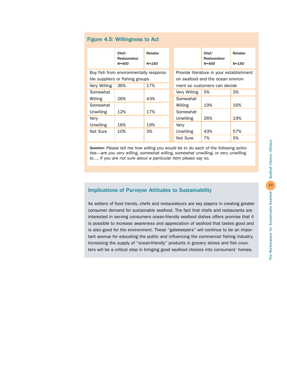|              | Chef/<br>Restaurateur<br>$N = 400$      | Retailer<br>$N = 150$ |                                          | Chef/<br>Restaurateur<br>$N = 400$ | Retailer<br>$N = 150$ |  |  |
|--------------|-----------------------------------------|-----------------------|------------------------------------------|------------------------------------|-----------------------|--|--|
|              | Buy fish from environmentally responsi- |                       | Provide literature in your establishment |                                    |                       |  |  |
|              | ble suppliers or fishing groups         |                       |                                          | on seafood and the ocean environ-  |                       |  |  |
| Very Willing | 36%                                     | 17%                   | ment so customers can decide             |                                    |                       |  |  |
| Somewhat     |                                         |                       | Very Willing                             | 5%                                 | 3%                    |  |  |
| Willing      | 26%                                     | 43%                   | Somewhat                                 |                                    |                       |  |  |
| Somewhat     |                                         |                       | Willing                                  | 19%                                | 16%                   |  |  |
| Unwilling    | 12%                                     | 17%                   | Somewhat                                 |                                    |                       |  |  |
| Very         |                                         |                       | Unwilling                                | 26%                                | 19%                   |  |  |
| Unwilling    | 16%                                     | 19%                   | Verv                                     |                                    |                       |  |  |
| Not Sure     | 10%                                     | 3%                    | Unwilling                                | 43%                                | 57%                   |  |  |
|              |                                         |                       | Not Sure                                 | 7%                                 | 5%                    |  |  |

Question: *Please tell me how willing you would be to do each of the following activities—are you very willing, somewhat willing, somewhat unwilling, or very unwilling to…. If you are not sure about a particular item please say so.*

# Implications of Purveyor Attitudes to Sustainability

As setters of food trends, chefs and restaurateurs are key players in creating greater consumer demand for sustainable seafood. The fact that chefs and restaurants are interested in serving consumers ocean-friendly seafood dishes offers promise that it is possible to increase awareness and appreciation of seafood that tastes good and is also good for the environment. These "gatekeepers" will continue to be an important avenue for educating the public and influencing the commercial fishing industry. Increasing the supply of "ocean-friendly" products in grocery stores and fish counters will be a critical step in bringing good seafood choices into consumers' homes.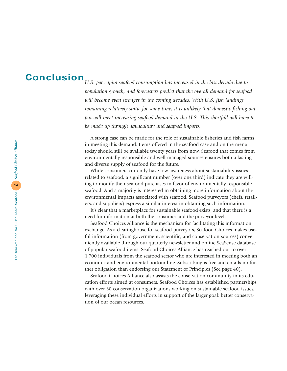# Conclusion

*U.S. per capita seafood consumption has increased in the last decade due to population growth, and forecasters predict that the overall demand for seafood will become even stronger in the coming decades. With U.S. fish landings remaining relatively static for some time, it is unlikely that domestic fishing output will meet increasing seafood demand in the U.S. This shortfall will have to be made up through aquaculture and seafood imports.*

A strong case can be made for the role of sustainable fisheries and fish farms in meeting this demand. Items offered in the seafood case and on the menu today should still be available twenty years from now. Seafood that comes from environmentally responsible and well-managed sources ensures both a lasting and diverse supply of seafood for the future.

While consumers currently have low awareness about sustainability issues related to seafood, a significant number (over one third) indicate they are willing to modify their seafood purchases in favor of environmentally responsible seafood. And a majority is interested in obtaining more information about the environmental impacts associated with seafood. Seafood purveyors (chefs, retailers, and suppliers) express a similar interest in obtaining such information.

It's clear that a marketplace for sustainable seafood exists, and that there is a need for information at both the consumer and the purveyor levels.

Seafood Choices Alliance is the mechanism for facilitating this information exchange. As a clearinghouse for seafood purveyors, Seafood Choices makes useful information (from government, scientific, and conservation sources) conveniently available through our quarterly newsletter and online SeaSense database of popular seafood items. Seafood Choices Alliance has reached out to over 1,700 individuals from the seafood sector who are interested in meeting both an economic and environmental bottom line. Subscribing is free and entails no further obligation than endorsing our Statement of Principles (See page 40).

Seafood Choices Alliance also assists the conservation community in its education efforts aimed at consumers. Seafood Choices has established partnerships with over 30 conservation organizations working on sustainable seafood issues, leveraging these individual efforts in support of the larger goal: better conservation of our ocean resources.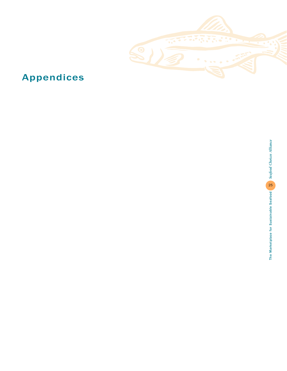

# Appendices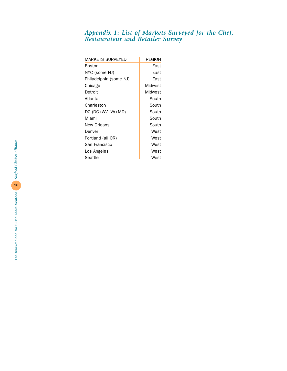# *Appendix 1: List of Markets Surveyed for the Chef, Restaurateur and Retailer Survey*

| MARKETS SURVEYED       | <b>REGION</b> |
|------------------------|---------------|
| <b>Boston</b>          | East          |
| NYC (some NJ)          | Fast          |
| Philadelphia (some NJ) | Fast          |
| Chicago                | Midwest       |
| Detroit                | Midwest       |
| Atlanta                | South         |
| Charleston             | South         |
| DC (DC+WV+VA+MD)       | South         |
| Miami                  | South         |
| New Orleans            | South         |
| Denver                 | West          |
| Portland (all OR)      | West          |
| San Francisco          | West          |
| Los Angeles            | West          |
| Seattle                | West          |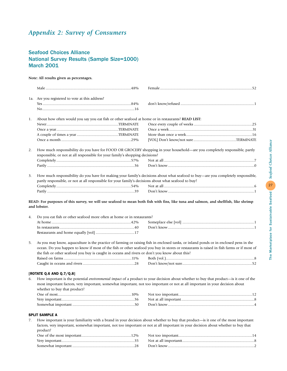# *Appendix 2: Survey of Consumers*

### Seafood Choices Alliance National Survey Results (Sample Size=1000) March 2001

### **Note: All results given as percentages.**

|    | 1a. Are you registered to vote at this address?                                                                                                              |                                                                                                                                                                                                                                                                                   |
|----|--------------------------------------------------------------------------------------------------------------------------------------------------------------|-----------------------------------------------------------------------------------------------------------------------------------------------------------------------------------------------------------------------------------------------------------------------------------|
|    |                                                                                                                                                              |                                                                                                                                                                                                                                                                                   |
|    |                                                                                                                                                              |                                                                                                                                                                                                                                                                                   |
| 1. | About how often would you say you eat fish or other seafood at home or in restaurants? READ LIST:                                                            |                                                                                                                                                                                                                                                                                   |
|    |                                                                                                                                                              |                                                                                                                                                                                                                                                                                   |
|    |                                                                                                                                                              |                                                                                                                                                                                                                                                                                   |
|    |                                                                                                                                                              |                                                                                                                                                                                                                                                                                   |
|    |                                                                                                                                                              |                                                                                                                                                                                                                                                                                   |
| 2. | responsible, or not at all responsible for your family's shopping decisions?                                                                                 | How much responsibility do you have for FOOD OR GROCERY shopping in your household—are you completely responsible, partly                                                                                                                                                         |
|    |                                                                                                                                                              |                                                                                                                                                                                                                                                                                   |
|    |                                                                                                                                                              |                                                                                                                                                                                                                                                                                   |
| 3. | partly responsible, or not at all responsible for your family's decisions about what seafood to buy?                                                         | How much responsibility do you have for making your family's decisions about what seafood to buy—are you completely responsible,                                                                                                                                                  |
|    |                                                                                                                                                              |                                                                                                                                                                                                                                                                                   |
|    |                                                                                                                                                              |                                                                                                                                                                                                                                                                                   |
| 4. | and lobster.<br>Do you eat fish or other seafood more often at home or in restaurants?                                                                       |                                                                                                                                                                                                                                                                                   |
| 5. | the fish or other seafood you buy is caught in oceans and rivers or don't you know about this?                                                               | As you may know, aquaculture is the practice of farming or raising fish in enclosed tanks, or inland ponds or in enclosed pens in the<br>ocean. Do you happen to know if most of the fish or other seafood you buy in stores or restaurants is raised in fish farms or if most of |
|    | [ROTATE Q.6 AND Q.7/Q.8]                                                                                                                                     |                                                                                                                                                                                                                                                                                   |
| 6. | most important factors, very important, somewhat important, not too important or not at all important in your decision about<br>whether to buy that product? | How important is the potential environmental impact of a product to your decision about whether to buy that product-is it one of the                                                                                                                                              |
|    |                                                                                                                                                              |                                                                                                                                                                                                                                                                                   |
|    | <b>SPLIT SAMPLE A</b>                                                                                                                                        |                                                                                                                                                                                                                                                                                   |
| 7. |                                                                                                                                                              | How important is your familiarity with a brand in your decision about whether to buy that product—is it one of the most important<br>factors, very important, somewhat important, not too important or not at all important in your decision about whether to buy that            |

| product? |  |
|----------|--|
|          |  |
|          |  |
|          |  |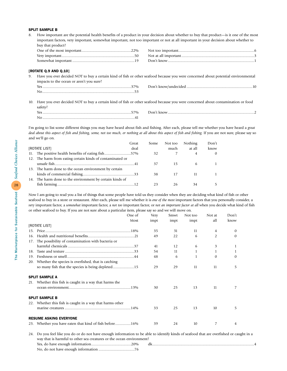#### SPLIT SAMPLE B

8. How important are the potential health benefits of a product in your decision about whether to buy that product—is it one of the most important factors, very important, somewhat important, not too important or not at all important in your decision about whether to buy that product?

| $\Gamma$ Don't know that the set of $\Gamma$ is a set of $\Gamma$ is a set of $\Gamma$ is a set of $\Gamma$ |
|-------------------------------------------------------------------------------------------------------------|

#### [ROTATE Q.9 AND Q.10]

|                                          | 9. Have you ever decided NOT to buy a certain kind of fish or other seafood because you were concerned about potential environmental |
|------------------------------------------|--------------------------------------------------------------------------------------------------------------------------------------|
| impacts to the ocean or aren't you sure? |                                                                                                                                      |
|                                          |                                                                                                                                      |
|                                          |                                                                                                                                      |
|                                          |                                                                                                                                      |

10. Have you ever decided NOT to buy a certain kind of fish or other seafood because you were concerned about contamination or food safety?

| 70/6         |  |
|--------------|--|
| $\mathbf{v}$ |  |

I'm going to list some different things you may have heard about fish and fishing. After each, please tell me whether you have heard a *great* deal about this aspect of fish and fishing, some, not too much, or nothing at all about this aspect of fish and fishing. If you are not sure, please say so and we'll go on.

|                                                           | Great | Some | Not too | Nothing        | Don't    |
|-----------------------------------------------------------|-------|------|---------|----------------|----------|
| <b>[ROTATE LIST]</b>                                      | deal  |      | much    | at all         | know     |
| 11. The positive health benefits of eating fish57%        |       | 32   |         | $\overline{4}$ | $\Omega$ |
| 12. The harm from eating certain kinds of contaminated or |       |      |         |                |          |
|                                                           |       | 37   | 15.     | 6              |          |
| 13. The harm done to the ocean environment by certain     |       |      |         |                |          |
|                                                           |       | 38.  | 17      |                |          |
| 14. The harm done to the environment by certain kinds of  |       |      |         |                |          |
|                                                           |       | 23   | 26      | 34             | 5.       |

Now I am going to read you a list of things that some people have told us they consider when they are deciding what kind of fish or other seafood to buy in a store or restaurant. After each, please tell me whether it is *one of the most* important factors that you personally consider, a *very* important factor, a *somewhat* important factor, a *not too* important factor, or *not an important factor at all* when you decide what kind of fish or other seafood to buy. If you are not sure about a particular item, please say so and we will move on.

|     | One of                                                    | Very | Smwt | Not too | Not at         | Don't    |
|-----|-----------------------------------------------------------|------|------|---------|----------------|----------|
|     | Most                                                      | impt | impt | impt    | all            | know     |
|     | [ROTATE LIST]                                             |      |      |         |                |          |
| 15. |                                                           | 35   | 31   | 11      | 4              | $\theta$ |
| 16. |                                                           | 49   | 22   | 6       | $\overline{2}$ | $\Omega$ |
|     | 17. The possibility of contamination with bacteria or     |      |      |         |                |          |
|     |                                                           | 41   | 12   | 6       | 3              | 1        |
| 18. |                                                           | 54   | 11   | 1       | 1              | 1        |
| 19. |                                                           | 48   | 6    | 1       | $\Omega$       | $\Omega$ |
|     | 20. Whether the species is overfished, that is catching   |      |      |         |                |          |
|     |                                                           | 29   | 29   | 11      | 11             | 5.       |
|     |                                                           |      |      |         |                |          |
|     | <b>SPLIT SAMPLE A</b>                                     |      |      |         |                |          |
| 21. | Whether this fish is caught in a way that harms the       |      |      |         |                |          |
|     |                                                           | 30   | 25   | 13      | 11             |          |
|     |                                                           |      |      |         |                |          |
|     | <b>SPLIT SAMPLE B</b>                                     |      |      |         |                |          |
|     | 22. Whether this fish is caught in a way that harms other |      |      |         |                |          |
|     |                                                           | 33   | 25   | 13      | 10             | 5.       |
|     |                                                           |      |      |         |                |          |
|     | <b>RESUME ASKING EVERYONE</b>                             |      |      |         |                |          |
| 23. | Whether you have eaten that kind of fish before16%        | 39   | 24   | 10      | 7              | 4        |
|     |                                                           |      |      |         |                |          |

24. Do you feel like you do or do not have enough information to be able to identify kinds of seafood that are overfished or caught in a way that is harmful to other sea creatures or the ocean environment? Yes, do have enough information.........................................20% dk.........................................................................................................4 No, do not have enough information .....................................76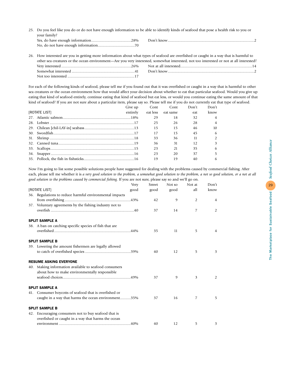25. Do you feel like you do or do not have enough information to be able to identify kinds of seafood that pose a health risk to you or your family?

| 28%<br>Yes, do have enough information. | Don't |
|-----------------------------------------|-------|
| No, do not have enough information.     |       |

26. How interested are you in getting more information about what types of seafood are overfished or caught in a way that is harmful to other sea creatures or the ocean environment—Are you very interested, somewhat interested, not too interested or not at all interested? Very interested........................................................................26% Not at all interested..........................................................................14 Somewhat interested .................................................................41 Don't know.........................................................................................2 Not too interested .....................................................................17

For each of the following kinds of seafood, please tell me if you found out that it was overfished or caught in a way that is harmful to other sea creatures or the ocean environment how that would affect your decision about whether to eat that particular seafood. Would you give up eating that kind of seafood entirely, continue eating that kind of seafood but eat less, or would you continue eating the same amount of that kind of seafood? If you are not sure about a particular item, please say so. Please tell me if you do not currently eat that type of seafood.

|               | Give up  | Cont | Cont              | Don't | Don't          |
|---------------|----------|------|-------------------|-------|----------------|
| [ROTATE LIST] | entirely |      | eat less eat same | eat   | know           |
|               |          | 29   | 18                | 32    | $\overline{4}$ |
|               |          | 25   | 26                | 28    | $\overline{4}$ |
|               |          | 15   | 15                | 46    | 10             |
|               |          | 17   | 15                | 45    | 6              |
|               |          | 33   | 36                | 11    | $\overline{2}$ |
|               |          | 36   | 31                | 12    | 3              |
|               |          | 23   | 21                | 35    | 6              |
|               |          | 23   | 20                | 37    | 5              |
|               |          | 19   | 19                | 40    | 6              |

Now I'm going to list some possible solutions people have suggested for dealing with the problems caused by commercial fishing. After each, please tell me whether it is *a very good solution to the problem, a somewhat good solution to the problem, a not so good solution, or a not at all good solution to the problems caused by commercial fishing.* If you are not sure, please say so and we'll go on.

| Very                                                    | Smwt | Not so | Not at         | Don't          |
|---------------------------------------------------------|------|--------|----------------|----------------|
| [ROTATE LIST]<br>good                                   | good | good   | all            | know           |
| 36. Regulations to reduce harmful environmental impacts |      |        |                |                |
|                                                         | 42   | 9      | $\overline{2}$ | 4              |
| 37. Voluntary agreements by the fishing industry not to |      |        |                |                |
|                                                         | 37   | 14     | 7              | $\overline{2}$ |
| <b>SPLIT SAMPLE A</b>                                   |      |        |                |                |
| 38. A ban on catching specific species of fish that are |      |        |                |                |
|                                                         | 35   | 11     | 5              | 4              |
| <b>SPLIT SAMPLE B</b>                                   |      |        |                |                |
| 39. Lowering the amount fishermen are legally allowed   |      |        |                |                |
|                                                         | 40   | 12     | 5              | 3              |
| <b>RESUME ASKING EVERYONE</b>                           |      |        |                |                |
| 40. Making information available to seafood consumers   |      |        |                |                |
| about how to make environmentally responsible           |      |        |                |                |
|                                                         | 37   | 9      | 3              | 2              |
| <b>SPLIT SAMPLE A</b>                                   |      |        |                |                |
| 41. Consumer boycotts of seafood that is overfished or  |      |        |                |                |
| caught in a way that harms the ocean environment35%     | 37   | 16     | 7              | 5.             |
| <b>SPLIT SAMPLE B</b>                                   |      |        |                |                |
| 42. Encouraging consumers not to buy seafood that is    |      |        |                |                |
| overfished or caught in a way that harms the ocean      |      |        |                |                |
|                                                         | 40   | 12     | 5              | 3              |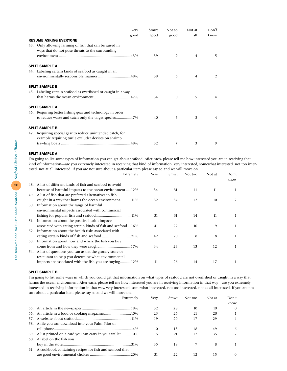| <b>Very</b><br>good                                                                                         | Smwt<br>good | Not so<br>good | Not at<br>all  | Don'f<br>know |
|-------------------------------------------------------------------------------------------------------------|--------------|----------------|----------------|---------------|
| <b>RESUME ASKING EVERYONE</b>                                                                               |              |                |                |               |
| 43. Only allowing farming of fish that can be raised in<br>ways that do not pose threats to the surrounding |              |                |                |               |
|                                                                                                             | 39           | 9              | $\overline{4}$ | 5             |
| <b>SPLIT SAMPLE A</b>                                                                                       |              |                |                |               |
| 44. Labeling certain kinds of seafood as caught in an                                                       |              |                |                |               |
|                                                                                                             | 39           | 6              | $\overline{4}$ | 2             |
| <b>SPLIT SAMPLE B</b>                                                                                       |              |                |                |               |
| 45. Labeling certain seafood as overfished or caught in a way                                               |              |                |                |               |
|                                                                                                             | 34           | 10             | 5              | 4             |
| <b>SPLIT SAMPLE A</b>                                                                                       |              |                |                |               |
| 46. Requiring better fishing gear and technology in order                                                   |              |                |                |               |
| to reduce waste and catch only the target species47%                                                        | 40           | 5              | 3              | 4             |
| <b>SPLIT SAMPLE B</b>                                                                                       |              |                |                |               |
| 47. Requiring special gear to reduce unintended catch, for                                                  |              |                |                |               |
| example requiring turtle excluder devices on shrimp                                                         |              |                |                |               |
|                                                                                                             | 32           | 7              | 3              | 9             |

### SPLIT SAMPLE A

I'm going to list some types of information you can get about seafood. After each, please tell me how interested you are in receiving that kind of information—are you extremely interested in receiving that kind of information, very interested, somewhat interested, not too interested, not at all interested. If you are not sure about a particular item please say so and we will move on.

Extremely Very Smwt Not too Not at Don't

|     |                                                              | $\cdots$ |    | 1101100 |    | know |
|-----|--------------------------------------------------------------|----------|----|---------|----|------|
| 48. | A list of different kinds of fish and seafood to avoid       |          |    |         |    |      |
|     | because of harmful impacts to the ocean environment12%       | 34       | 31 | 11      | 11 |      |
| 49. | A list of fish that are preferred alternatives to fish       |          |    |         |    |      |
|     | caught in a way that harms the ocean environment11%          | 32       | 34 | 12      | 10 | 2    |
| 50. | Information about the range of harmful                       |          |    |         |    |      |
|     | environmental impacts associated with commercial             |          |    |         |    |      |
|     |                                                              | 31       | 31 | 14      | 11 |      |
| 51. | Information about the positive health impacts                |          |    |         |    |      |
|     | associated with eating certain kinds of fish and seafood 16% | 41       | 22 | 10      | 9  |      |
| 52. | Information about the health risks associated with           |          |    |         |    |      |
|     |                                                              | 42       | 20 | 8       | 8  |      |
| 53. | Information about how and where the fish you buy             |          |    |         |    |      |
|     |                                                              | 34       | 23 | 13      | 12 |      |
| 54. | A list of questions you can ask at the grocery store or      |          |    |         |    |      |
|     | restaurant to help you determine what environmental          |          |    |         |    |      |
|     | impacts are associated with the fish you are buying12%       | 31       | 26 | 14      | 17 |      |
|     |                                                              |          |    |         |    |      |

#### SPLIT SAMPLE B

I'm going to list some ways in which you could get that information on what types of seafood are not overfished or caught in a way that harms the ocean environment. After each, please tell me how interested you are in receiving information in that way—are you extremely interested in receiving information in that way, very interested, somewhat interested, not too interested, not at all interested. If you are not sure about a particular item please say so and we will move on.

|     | Extremely                                                    | Verv | Smwt | Not too | Not at | Don't<br>know |
|-----|--------------------------------------------------------------|------|------|---------|--------|---------------|
|     |                                                              | 32   | 28   | 10      | 10     | $\Omega$      |
|     |                                                              | 23   | 26   | 21      | 20     |               |
| 57. |                                                              | 19   | 20   | 17      | 29     | 4             |
|     | 58. A file you can download into your Palm Pilot or          |      |      |         |        |               |
|     |                                                              | 10   | 13   | 18      | 49     | 6             |
|     | 59. A list printed on a card you can carry in your wallet10% | 15   | 21   | 17      | 35     |               |
|     | 60. A label on the fish you                                  |      |      |         |        |               |
|     |                                                              | 35   | 18   | 7       | 8      |               |
|     | 61. A cookbook containing recipes for fish and seafood that  |      |      |         |        |               |
|     |                                                              | 31   | 22   | 12      | 15     |               |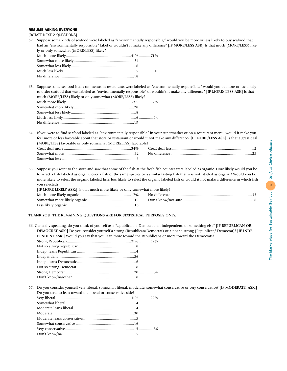#### RESUME ASKING EVERYONE

[ROTATE NEXT 2 QUESTIONS]

62. Suppose some kinds of seafood were labeled as "environmentally responsible," would you be more or less likely to buy seafood that had an "environmentally responsible" label or wouldn't it make any difference? **[IF MORE/LESS ASK]** Is that much (MORE/LESS) likely or only somewhat (MORE/LESS) likely?

63. Suppose some seafood items on menus in restaurants were labeled as "environmentally responsible," would you be more or less likely to order seafood that was labeled as "environmentally responsible" or wouldn't it make any difference? **[IF MORE/ LESS ASK]** Is that much (MORE/LESS) likely or only somewhat (MORE/LESS) likely?

64. If you were to find seafood labeled as "environmentally responsible" in your supermarket or on a restaurant menu, would it make you feel more or less favorable about that store or restaurant or would it not make any difference? **[IF MORE/LESS ASK]** Is that a great deal (MORE/LESS) favorable or only somewhat (MORE/LESS) favorable?

|               | Great deal less |
|---------------|-----------------|
| Somewhat more | No difference   |
| Somewhat less |                 |

65. Suppose you went to the store and saw that some of the fish at the fresh fish counter were labeled as organic. How likely would you be to select a fish labeled as organic over a fish of the same species or a similar tasting fish that was not labeled as organic? Would you be more likely to select the organic labeled fish, less likely to select the organic labeled fish or would it not make a difference in which fish you selected?

| <b>IF MORE LIKELY ASK:</b> Is that much more likely or only somewhat more likely? |  |
|-----------------------------------------------------------------------------------|--|
|                                                                                   |  |
|                                                                                   |  |
|                                                                                   |  |

### **THANK YOU. THE REMAINING QUESTIONS ARE FOR STATISTICAL PURPOSES ONLY.**

66. Generally speaking, do you think of yourself as a Republican, a Democrat, an independent, or something else? **[IF REPUBLICAN OR DEMOCRAT ASK:]** Do you consider yourself a strong (Republican/Democrat) or a not so strong (Republican/ Democrat)? **[IF INDE-PENDENT ASK:]** Would you say that you lean more toward the Republicans or more toward the Democrats?

67. Do you consider yourself very liberal, somewhat liberal, moderate, somewhat conservative or very conservative? **[IF MODERATE, ASK:]** Do you tend to lean toward the liberal or conservative side?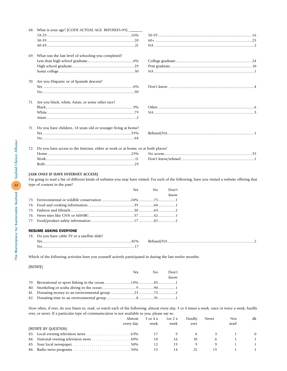|     | 68. What is your age? [CODE ACTUAL AGE. REFUSED=99] _____________________________                                                                                                                                       |     |    |       |  |
|-----|-------------------------------------------------------------------------------------------------------------------------------------------------------------------------------------------------------------------------|-----|----|-------|--|
|     |                                                                                                                                                                                                                         |     |    |       |  |
|     |                                                                                                                                                                                                                         |     |    |       |  |
|     |                                                                                                                                                                                                                         |     |    |       |  |
|     | 69. What was the last level of schooling you completed?                                                                                                                                                                 |     |    |       |  |
|     |                                                                                                                                                                                                                         |     |    |       |  |
|     |                                                                                                                                                                                                                         |     |    |       |  |
|     |                                                                                                                                                                                                                         |     |    |       |  |
|     | 70. Are you Hispanic or of Spanish descent?                                                                                                                                                                             |     |    |       |  |
|     |                                                                                                                                                                                                                         |     |    |       |  |
|     |                                                                                                                                                                                                                         |     |    |       |  |
|     | 71. Are you black, white, Asian, or some other race?                                                                                                                                                                    |     |    |       |  |
|     |                                                                                                                                                                                                                         |     |    |       |  |
|     |                                                                                                                                                                                                                         |     |    |       |  |
|     |                                                                                                                                                                                                                         |     |    |       |  |
|     |                                                                                                                                                                                                                         |     |    |       |  |
|     | 71. Do you have children, 18 years old or younger living at home?                                                                                                                                                       |     |    |       |  |
|     |                                                                                                                                                                                                                         |     |    |       |  |
|     |                                                                                                                                                                                                                         |     |    |       |  |
|     |                                                                                                                                                                                                                         |     |    |       |  |
|     | 72. Do you have access to the Internet, either at work or at home, or at both places?                                                                                                                                   |     |    |       |  |
|     |                                                                                                                                                                                                                         |     |    |       |  |
|     |                                                                                                                                                                                                                         |     |    |       |  |
|     |                                                                                                                                                                                                                         |     |    |       |  |
|     | [ASK ONLY IF HAVE INTERNET ACCESS]<br>I'm going to read a list of different kinds of websites you may have visited. For each of the following, have you visited a website offering that<br>type of content in the past? | Yes | No | Don't |  |
|     |                                                                                                                                                                                                                         |     |    | know  |  |
|     |                                                                                                                                                                                                                         |     |    |       |  |
| 74. |                                                                                                                                                                                                                         |     |    |       |  |
| 75. |                                                                                                                                                                                                                         |     |    |       |  |
| 76. |                                                                                                                                                                                                                         |     |    |       |  |
|     |                                                                                                                                                                                                                         |     |    |       |  |
|     | <b>RESUME ASKING EVERYONE</b>                                                                                                                                                                                           |     |    |       |  |
|     | 78. Do you have cable TV or a satellite dish?                                                                                                                                                                           |     |    |       |  |
|     |                                                                                                                                                                                                                         |     |    |       |  |
|     |                                                                                                                                                                                                                         |     |    |       |  |
|     | Which of the following activities have you yourself actively participated in during the last twelve months:                                                                                                             |     |    |       |  |
|     |                                                                                                                                                                                                                         |     |    |       |  |
|     | [ROTATE]                                                                                                                                                                                                                |     | No | Don't |  |
|     |                                                                                                                                                                                                                         | Yes |    | know  |  |
| 79. |                                                                                                                                                                                                                         |     |    |       |  |
| 80. |                                                                                                                                                                                                                         |     |    |       |  |
| 81. |                                                                                                                                                                                                                         |     |    |       |  |
| 82. |                                                                                                                                                                                                                         |     |    |       |  |
|     |                                                                                                                                                                                                                         |     |    |       |  |
|     | How often, if ever, do you listen to, read, or watch each of the following: almost every day, 3 or 4 times a week, once or twice a week, hardly                                                                         |     |    |       |  |

ever, or never. If a particular type of communication is not available to you, please say so. Almost 3 or 4 x 1 or 2 x Hardly Never Not dk every day week week ever avail [ROTATE BY QUESTION] 83. Local evening television news . . . . . . . . . . . . . . . . . . . . . . 63% 17 96310 84. National evening television news . . . . . . . . . . . . . . . 49% 18 16 10 6 1 1 85. Your local newspaper. . . . . . . . . . . . . . . . . . . . . . . . . . . . . 50% 12 19 9911 86. Radio news programs . . . . . . . . . . . . . . . . . . . . . . . . . . . . 34% 15 14 21 15 1 1

The Marketplace for Sustainable Seafood *Seafood Choices Alliance*  The Marketplace for Sustainable Seafood 8 Seafood Choices Alliance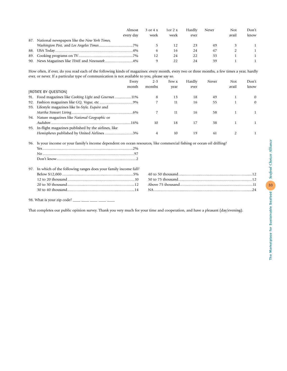| Almost                                           | 3 or 4 x | $1 \text{ or } 2 \text{ x}$ | Hardly | Never | Not   | Don't |
|--------------------------------------------------|----------|-----------------------------|--------|-------|-------|-------|
| every day                                        | week     | week                        | ever   |       | avail | know  |
| 87. National newspapers like the New York Times, |          |                             |        |       |       |       |
|                                                  |          |                             |        | 49    |       |       |
|                                                  |          | l (ა                        | 24     |       |       |       |
|                                                  |          | 24                          |        |       |       |       |
|                                                  |          |                             | 24     |       |       |       |

How often, if ever, do you read each of the following kinds of magazines: every month, every two or three months, a few times a year, hardly ever, or never. If a particular type of communication is not available to you, please say so.

|     | Every                                               | $2 - 3$ | Few x | Hardly | Never | Not   | Don't    |
|-----|-----------------------------------------------------|---------|-------|--------|-------|-------|----------|
|     | month                                               | months  | year  | ever   |       | avail | know     |
|     | [ROTATE BY QUESTION]                                |         |       |        |       |       |          |
| 91. | Food magazines like Cooking Light and Gourmet11%    | 8       | 13    | 18     | 49    |       | $\Omega$ |
|     |                                                     |         | 11    | 16     | 55    |       | $\Omega$ |
| 93. | Lifestyle magazines like In-Style, Esquire and      |         |       |        |       |       |          |
|     |                                                     |         | 11    | 16     | 58    |       |          |
|     | 94. Nature magazines like National Geographic or    |         |       |        |       |       |          |
|     |                                                     | 10      | 18    | 17     | 38    |       |          |
| 95. | In-flight magazines published by the airlines, like |         |       |        |       |       |          |
|     | Hemispheres published by United Airlines3%          |         | 10    | 19     | 61    |       |          |
|     |                                                     |         |       |        |       |       |          |

96. Is your income or your family's income dependent on ocean resources, like commercial fishing or ocean oil drilling? Yes.............................................................................................2% No ..............................................................................................97

| 97. In which of the following ranges does your family income fall? |  |
|--------------------------------------------------------------------|--|
|                                                                    |  |
|                                                                    |  |
|                                                                    |  |
|                                                                    |  |
|                                                                    |  |

98. What is your zip code? \_\_\_\_ \_\_\_ \_\_\_ \_\_\_ \_\_\_

Don't know..................................................................................2

That completes our public opinion survey. Thank you very much for your time and cooperation, and have a pleasant (day/evening).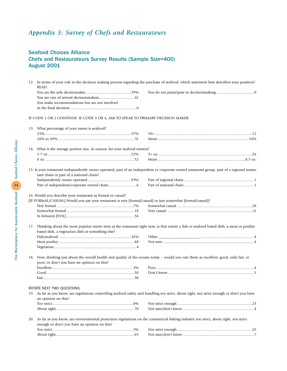# *Appendix 3: Survey of Chefs and Restaurateurs*

### Seafood Choices Alliance Chefs and Restaurateurs Survey Results (Sample Size=400) August 2001

|     | READ:                                                                                                                                                                     | 12. In terms of your role in the decision making process regarding the purchase of seafood, which statement best describes your position?    |
|-----|---------------------------------------------------------------------------------------------------------------------------------------------------------------------------|----------------------------------------------------------------------------------------------------------------------------------------------|
|     |                                                                                                                                                                           |                                                                                                                                              |
|     |                                                                                                                                                                           |                                                                                                                                              |
|     | You make recommendations but are not involved                                                                                                                             |                                                                                                                                              |
|     |                                                                                                                                                                           |                                                                                                                                              |
|     | IF CODE 1 OR 2 CONTINUE. IF CODE 3 OR 4, ASK TO SPEAK TO PRIMARY DECISION MAKER.                                                                                          |                                                                                                                                              |
|     | 13. What percentage of your menu is seafood?                                                                                                                              |                                                                                                                                              |
|     |                                                                                                                                                                           |                                                                                                                                              |
|     |                                                                                                                                                                           |                                                                                                                                              |
|     | 14. What is the average portion size, in ounces, for your seafood entrées?                                                                                                |                                                                                                                                              |
|     |                                                                                                                                                                           |                                                                                                                                              |
|     |                                                                                                                                                                           |                                                                                                                                              |
|     | rant chain or part of a national chain?                                                                                                                                   | 15. Is your restaurant independently owner operated, part of an independent or corporate owned restaurant group, part of a regional restau-  |
|     |                                                                                                                                                                           |                                                                                                                                              |
|     |                                                                                                                                                                           |                                                                                                                                              |
|     | 16. Would you describe your restaurant as formal or casual?<br>[IF FORMAL/CASUAL] Would you say your restaurant is very [formal/casual] or just somewhat [formal/casual]? |                                                                                                                                              |
| 17. | based dish, a vegetarian dish or something else?                                                                                                                          | Thinking about the most popular entrée item at the restaurant right now, is that entrée a fish or seafood based dish, a meat or poultry      |
|     |                                                                                                                                                                           |                                                                                                                                              |
|     |                                                                                                                                                                           |                                                                                                                                              |
|     |                                                                                                                                                                           |                                                                                                                                              |
| 18. | poor, or don't you have an opinion on this?                                                                                                                               | Now, thinking just about the overall health and quality of the oceans today -- would you rate them as excellent, good, only fair, or         |
|     |                                                                                                                                                                           |                                                                                                                                              |
|     |                                                                                                                                                                           |                                                                                                                                              |
|     |                                                                                                                                                                           |                                                                                                                                              |
|     | ROTATE NEXT TWO QUESTIONS                                                                                                                                                 |                                                                                                                                              |
|     |                                                                                                                                                                           | 19. As far as you know, are regulations controlling seafood safety and handling too strict, about right, not strict enough or don't you have |
|     | an opinion on this?                                                                                                                                                       |                                                                                                                                              |
|     |                                                                                                                                                                           |                                                                                                                                              |
|     |                                                                                                                                                                           |                                                                                                                                              |
|     | enough or don't you have an opinion on this?                                                                                                                              | 20. As far as you know, are environmental protection regulations on the commercial fishing industry too strict, about right, not strict      |
|     |                                                                                                                                                                           |                                                                                                                                              |
|     |                                                                                                                                                                           |                                                                                                                                              |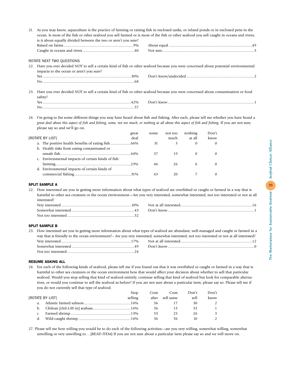|     | 21. As you may know, aquaculture is the practice of farming or raising fish in enclosed tanks, or inland ponds or in enclosed pens in the<br>ocean. Is most of the fish or other seafood you sell farmed or is most of the fish or other seafood you sell caught in oceans and rivers,<br>is it about equally divided between the two or aren't you sure? |                                                                                                                                    |  |  |  |  |  |  |  |
|-----|-----------------------------------------------------------------------------------------------------------------------------------------------------------------------------------------------------------------------------------------------------------------------------------------------------------------------------------------------------------|------------------------------------------------------------------------------------------------------------------------------------|--|--|--|--|--|--|--|
|     |                                                                                                                                                                                                                                                                                                                                                           |                                                                                                                                    |  |  |  |  |  |  |  |
|     |                                                                                                                                                                                                                                                                                                                                                           |                                                                                                                                    |  |  |  |  |  |  |  |
|     |                                                                                                                                                                                                                                                                                                                                                           |                                                                                                                                    |  |  |  |  |  |  |  |
|     | ROTATE NEXT TWO QUESTIONS                                                                                                                                                                                                                                                                                                                                 |                                                                                                                                    |  |  |  |  |  |  |  |
| 22. |                                                                                                                                                                                                                                                                                                                                                           | Have you ever decided NOT to sell a certain kind of fish or other seafood because you were concerned about potential environmental |  |  |  |  |  |  |  |
|     | impacts to the ocean or aren't you sure?                                                                                                                                                                                                                                                                                                                  |                                                                                                                                    |  |  |  |  |  |  |  |
|     |                                                                                                                                                                                                                                                                                                                                                           |                                                                                                                                    |  |  |  |  |  |  |  |
|     |                                                                                                                                                                                                                                                                                                                                                           |                                                                                                                                    |  |  |  |  |  |  |  |
| 23. | Have you ever decided NOT to sell a certain kind of fish or other seafood because you were concerned about contamination or food<br>safety?                                                                                                                                                                                                               |                                                                                                                                    |  |  |  |  |  |  |  |
|     |                                                                                                                                                                                                                                                                                                                                                           |                                                                                                                                    |  |  |  |  |  |  |  |
|     |                                                                                                                                                                                                                                                                                                                                                           |                                                                                                                                    |  |  |  |  |  |  |  |

24. I'm going to list some different things you may have heard about fish and fishing. After each, please tell me whether you have heard a *great deal about this aspect of fish and fishing, some, not too much, or nothing at all about this aspect of fish and fishing.* If you are not sure, please say so and we'll go on.

|                                                   | great | some | not too | nothing  | Don't |
|---------------------------------------------------|-------|------|---------|----------|-------|
| [ROTATE BY LIST]                                  | deal  |      | much    | at all   | know  |
|                                                   |       | 31   | 3       | $\theta$ |       |
| b. Health risks from eating contaminated or       |       |      |         |          |       |
|                                                   |       | 37   | 19      | $\Omega$ |       |
| c. Environmental impacts of certain kinds of fish |       |      |         |          |       |
|                                                   |       | 46   | 26      | 6        |       |
| d. Environmental impacts of certain kinds of      |       |      |         |          |       |
|                                                   |       | 43   | 20      |          |       |

#### SPLIT SAMPLE A

22. How interested are you in getting more information about what types of seafood are overfished or caught or farmed in a way that is harmful to other sea creatures or the ocean environment—Are you very interested, somewhat interested, not too interested or not at all interested?

| Verv interested<br>10%        | Not at all interested |
|-------------------------------|-----------------------|
| Somewhat interested.<br>$4 -$ | Don't know            |
|                               |                       |

#### SPLIT SAMPLE B

|                                                                                                                                             | 23. How interested are you in getting more information about what types of seafood are abundant, well-managed and caught or farmed in a |  |  |  |  |
|---------------------------------------------------------------------------------------------------------------------------------------------|-----------------------------------------------------------------------------------------------------------------------------------------|--|--|--|--|
| way that is friendly to the ocean environment? – Are you very interested, somewhat interested, not too interested or not at all interested? |                                                                                                                                         |  |  |  |  |
|                                                                                                                                             |                                                                                                                                         |  |  |  |  |
|                                                                                                                                             |                                                                                                                                         |  |  |  |  |
|                                                                                                                                             |                                                                                                                                         |  |  |  |  |

#### RESUME ASKING ALL

24. For each of the following kinds of seafood, please tell me if you found out that it was overfished or caught or farmed in a way that is harmful to other sea creatures or the ocean environment how that would affect your decision about whether to sell that particular seafood. Would you stop selling that kind of seafood entirely, continue selling that kind of seafood but look for comparable alternatives, or would you continue to sell the seafood as before? If you are not sure about a particular item, please say so. Please tell me if you do not currently sell that type of seafood.

|                  | Stop    | Cont | Cont            | Don't | Don't         |
|------------------|---------|------|-----------------|-------|---------------|
| [ROTATE BY LIST] | selling |      | alter sell same | sell  | know          |
|                  |         | 36   |                 | 30    | $\mathcal{P}$ |
|                  |         | 36   |                 | 33    |               |
|                  |         | 33   | 25              | 26    | 3             |
|                  |         | 36   | 36              | 10    |               |

27. Please tell me how willing you would be to do each of the following activities—are you very willing, somewhat willing, somewhat unwilling or very unwilling to….[READ ITEM] If you are not sure about a particular item please say so and we will move on.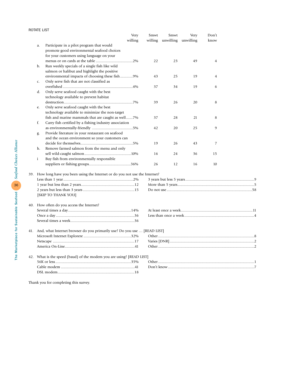|     |              | Very                                                                          | Smwt | Smwt | Very                        | Don't          |  |  |  |  |  |
|-----|--------------|-------------------------------------------------------------------------------|------|------|-----------------------------|----------------|--|--|--|--|--|
|     |              | willing                                                                       |      |      | willing unwilling unwilling | know           |  |  |  |  |  |
|     | a.           | Participate in a pilot program that would                                     |      |      |                             |                |  |  |  |  |  |
|     |              | promote good environmental seafood choices                                    |      |      |                             |                |  |  |  |  |  |
|     |              | for your customers using language on your                                     |      |      |                             |                |  |  |  |  |  |
|     |              |                                                                               | 22   | 23   | 49                          | $\overline{4}$ |  |  |  |  |  |
|     | b.           | Run weekly specials of a single fish like wild                                |      |      |                             |                |  |  |  |  |  |
|     |              | salmon or halibut and highlight the positive                                  |      |      |                             |                |  |  |  |  |  |
|     |              | environmental impacts of choosing these fish9%                                | 43   | 25   | 19                          | $\overline{4}$ |  |  |  |  |  |
|     | C.           | Only serve fish that are not classified as                                    |      |      |                             |                |  |  |  |  |  |
|     |              |                                                                               | 37   | 34   | 19                          | 6              |  |  |  |  |  |
|     | d.           | Only serve seafood caught with the best                                       |      |      |                             |                |  |  |  |  |  |
|     |              | technology available to prevent habitat                                       |      |      |                             |                |  |  |  |  |  |
|     |              |                                                                               | 39   | 26   | 20                          | 8              |  |  |  |  |  |
|     | e.           | Only serve seafood caught with the best                                       |      |      |                             |                |  |  |  |  |  |
|     |              | technology available to minimize the non-target                               |      |      |                             |                |  |  |  |  |  |
|     |              | fish and marine mammals that are caught as well7%                             | 37   | 28   | 21                          | 8              |  |  |  |  |  |
|     | f.           | Carry fish certified by a fishing industry association                        |      |      |                             |                |  |  |  |  |  |
|     |              |                                                                               | 42   | 20   | 25                          | 9              |  |  |  |  |  |
|     | g.           | Provide literature in your restaurant on seafood                              |      |      |                             |                |  |  |  |  |  |
|     |              | and the ocean environment so your customers can                               |      |      |                             |                |  |  |  |  |  |
|     |              |                                                                               | 19   | 26   | 43                          | 7              |  |  |  |  |  |
|     | h.           | Remove farmed salmon from the menu and only                                   |      |      |                             |                |  |  |  |  |  |
|     |              |                                                                               | 16   | 24   | 36                          | 15             |  |  |  |  |  |
|     | $\mathbf{i}$ | Buy fish from environmentally responsible                                     |      |      |                             |                |  |  |  |  |  |
|     |              |                                                                               | 26   | 12   | 16                          | 10             |  |  |  |  |  |
|     |              |                                                                               |      |      |                             |                |  |  |  |  |  |
|     |              | 39. How long have you been using the Internet or do you not use the Internet? |      |      |                             |                |  |  |  |  |  |
|     |              |                                                                               |      |      |                             |                |  |  |  |  |  |
|     |              |                                                                               |      |      |                             |                |  |  |  |  |  |
|     |              |                                                                               |      |      |                             |                |  |  |  |  |  |
|     |              | [SKIP TO THANK YOU]                                                           |      |      |                             |                |  |  |  |  |  |
|     |              |                                                                               |      |      |                             |                |  |  |  |  |  |
|     |              | 40. How often do you access the Internet?                                     |      |      |                             |                |  |  |  |  |  |
|     |              |                                                                               |      |      |                             |                |  |  |  |  |  |
|     |              |                                                                               |      |      |                             |                |  |  |  |  |  |
|     |              |                                                                               |      |      |                             |                |  |  |  |  |  |
| 41. |              | And, what Internet browser do you primarily use? Do you use  [READ LIST]      |      |      |                             |                |  |  |  |  |  |
|     |              |                                                                               |      |      |                             |                |  |  |  |  |  |
|     |              |                                                                               |      |      |                             |                |  |  |  |  |  |
|     |              |                                                                               |      |      |                             |                |  |  |  |  |  |
|     |              | 42. What is the speed (baud) of the modem you are using? [READ LIST]          |      |      |                             |                |  |  |  |  |  |
|     |              |                                                                               |      |      |                             |                |  |  |  |  |  |
|     |              |                                                                               |      |      |                             |                |  |  |  |  |  |
|     |              |                                                                               |      |      |                             |                |  |  |  |  |  |
|     |              |                                                                               |      |      |                             |                |  |  |  |  |  |

Thank you for completing this survey.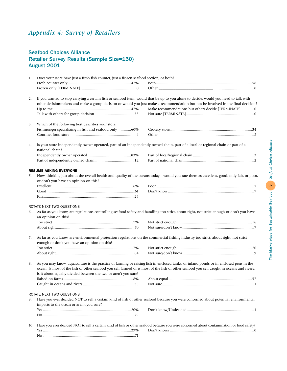# *Appendix 4: Survey of Retailers*

# Seafood Choices Alliance Retailer Survey Results (Sample Size=150) August 2001

| 1.  | Does your store have just a fresh fish counter, just a frozen seafood section, or both?                                                                                                                           |                                                                                                                                                                                                                                                                                                                                 |  |  |  |  |
|-----|-------------------------------------------------------------------------------------------------------------------------------------------------------------------------------------------------------------------|---------------------------------------------------------------------------------------------------------------------------------------------------------------------------------------------------------------------------------------------------------------------------------------------------------------------------------|--|--|--|--|
|     |                                                                                                                                                                                                                   |                                                                                                                                                                                                                                                                                                                                 |  |  |  |  |
|     |                                                                                                                                                                                                                   |                                                                                                                                                                                                                                                                                                                                 |  |  |  |  |
| 2.  |                                                                                                                                                                                                                   | If you wanted to stop carrying a certain fish or seafood item, would that be up to you alone to decide, would you need to talk with<br>other decisionmakers and make a group decision or would you just make a recommendation but not be involved in the final decision?<br>Make recommendations but others decide [TERMINATE]0 |  |  |  |  |
| 3.  | Which of the following best describes your store:                                                                                                                                                                 |                                                                                                                                                                                                                                                                                                                                 |  |  |  |  |
|     | Fishmonger specializing in fish and seafood only60%                                                                                                                                                               |                                                                                                                                                                                                                                                                                                                                 |  |  |  |  |
|     |                                                                                                                                                                                                                   |                                                                                                                                                                                                                                                                                                                                 |  |  |  |  |
| 4.  | Is your store independently owner operated, part of an independently owned chain, part of a local or regional chain or part of a<br>national chain?                                                               |                                                                                                                                                                                                                                                                                                                                 |  |  |  |  |
|     |                                                                                                                                                                                                                   |                                                                                                                                                                                                                                                                                                                                 |  |  |  |  |
|     |                                                                                                                                                                                                                   |                                                                                                                                                                                                                                                                                                                                 |  |  |  |  |
|     |                                                                                                                                                                                                                   |                                                                                                                                                                                                                                                                                                                                 |  |  |  |  |
| 5.  | <b>RESUME ASKING EVERYONE</b><br>Now, thinking just about the overall health and quality of the oceans today—would you rate them as excellent, good, only fair, or poor,<br>or don't you have an opinion on this? |                                                                                                                                                                                                                                                                                                                                 |  |  |  |  |
|     |                                                                                                                                                                                                                   |                                                                                                                                                                                                                                                                                                                                 |  |  |  |  |
|     |                                                                                                                                                                                                                   |                                                                                                                                                                                                                                                                                                                                 |  |  |  |  |
|     |                                                                                                                                                                                                                   |                                                                                                                                                                                                                                                                                                                                 |  |  |  |  |
|     |                                                                                                                                                                                                                   |                                                                                                                                                                                                                                                                                                                                 |  |  |  |  |
|     | ROTATE NEXT TWO QUESTIONS                                                                                                                                                                                         |                                                                                                                                                                                                                                                                                                                                 |  |  |  |  |
| 6.  | an opinion on this?                                                                                                                                                                                               | As far as you know, are regulations controlling seafood safety and handling too strict, about right, not strict enough or don't you have                                                                                                                                                                                        |  |  |  |  |
|     |                                                                                                                                                                                                                   |                                                                                                                                                                                                                                                                                                                                 |  |  |  |  |
|     |                                                                                                                                                                                                                   |                                                                                                                                                                                                                                                                                                                                 |  |  |  |  |
|     |                                                                                                                                                                                                                   |                                                                                                                                                                                                                                                                                                                                 |  |  |  |  |
| 7.  | As far as you know, are environmental protection regulations on the commercial fishing industry too strict, about right, not strict<br>enough or don't you have an opinion on this?                               |                                                                                                                                                                                                                                                                                                                                 |  |  |  |  |
|     |                                                                                                                                                                                                                   |                                                                                                                                                                                                                                                                                                                                 |  |  |  |  |
|     |                                                                                                                                                                                                                   |                                                                                                                                                                                                                                                                                                                                 |  |  |  |  |
| 8.  | is it about equally divided between the two or aren't you sure?                                                                                                                                                   | As you may know, aquaculture is the practice of farming or raising fish in enclosed tanks, or inland ponds or in enclosed pens in the<br>ocean. Is most of the fish or other seafood you sell farmed or is most of the fish or other seafood you sell caught in oceans and rivers,                                              |  |  |  |  |
|     | ROTATE NEXT TWO QUESTIONS                                                                                                                                                                                         |                                                                                                                                                                                                                                                                                                                                 |  |  |  |  |
| 9.  |                                                                                                                                                                                                                   | Have you ever decided NOT to sell a certain kind of fish or other seafood because you were concerned about potential environmental                                                                                                                                                                                              |  |  |  |  |
|     | impacts to the ocean or aren't you sure?                                                                                                                                                                          |                                                                                                                                                                                                                                                                                                                                 |  |  |  |  |
|     |                                                                                                                                                                                                                   |                                                                                                                                                                                                                                                                                                                                 |  |  |  |  |
|     |                                                                                                                                                                                                                   |                                                                                                                                                                                                                                                                                                                                 |  |  |  |  |
| 10. |                                                                                                                                                                                                                   | Have you ever decided NOT to sell a certain kind of fish or other seafood because you were concerned about contamination or food safety?                                                                                                                                                                                        |  |  |  |  |
|     |                                                                                                                                                                                                                   |                                                                                                                                                                                                                                                                                                                                 |  |  |  |  |
|     |                                                                                                                                                                                                                   |                                                                                                                                                                                                                                                                                                                                 |  |  |  |  |
|     |                                                                                                                                                                                                                   |                                                                                                                                                                                                                                                                                                                                 |  |  |  |  |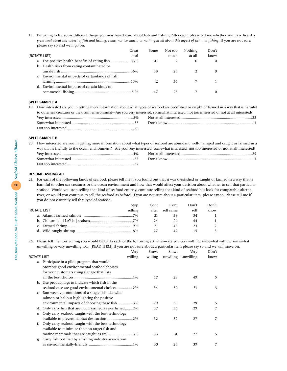11. I'm going to list some different things you may have heard about fish and fishing. After each, please tell me whether you have heard a *great deal about this aspect of fish and fishing, some, not too much, or nothing at all about this aspect of fish and fishing.* If you are not sure, please say so and we'll go on.

|                                                   | Great | Some | Not too | Nothing  | Don't    |
|---------------------------------------------------|-------|------|---------|----------|----------|
| (ROTATE LIST)                                     | deal  |      | much    | at all   | know     |
| a. The positive health benefits of eating fish53% |       | 41   |         | $\Omega$ | $\Omega$ |
| b. Health risks from eating contaminated or       |       |      |         |          |          |
|                                                   |       | 39   | 23      |          |          |
| c. Environmental impacts of certainkinds of fish  |       |      |         |          |          |
|                                                   |       | 42   | 36      |          |          |
| d. Environmental impacts of certain kinds of      |       |      |         |          |          |
|                                                   |       | 47   | 25      |          |          |
|                                                   |       |      |         |          |          |

#### SPLIT SAMPLE A

19. How interested are you in getting more information about what types of seafood are overfished or caught or farmed in a way that is harmful to other sea creatures or the ocean environment—Are you very interested, somewhat interested, not too interested or not at all interested? Very interested ..........................................................................5% Not at all interested..........................................................................33 Somewhat interested.................................................................35 Don't know.........................................................................................1 Not too interested .....................................................................25

#### SPLIT SAMPLE B

20. How interested are you in getting more information about what types of seafood are abundant, well-managed and caught or farmed in a way that is friendly to the ocean environment? – Are you very interested, somewhat interested, not too interested or not at all interested? Very interested ..........................................................................4% Not at all interested..........................................................................29

#### RESUME ASKING ALL

21. For each of the following kinds of seafood, please tell me if you found out that it was overfished or caught or farmed in a way that is harmful to other sea creatures or the ocean environment and how that would affect your decision about whether to sell that particular seafood. Would you stop selling that kind of seafood entirely, continue selling that kind of seafood but look for comparable alternatives, or would you continue to sell the seafood as before? If you are not sure about a particular item, please say so. Please tell me if you do not currently sell that type of seafood.

|               | Stop    | Cont | Cont            | Don't | Don't |
|---------------|---------|------|-----------------|-------|-------|
| (ROTATE LIST) | selling |      | alter sell same | sell  | know  |
|               |         |      |                 |       |       |
|               |         | 24   |                 | 44    |       |
|               |         |      |                 |       |       |
|               |         |      |                 |       |       |

26. Please tell me how willing you would be to do each of the following activities—are you very willing, somewhat willing, somewhat unwilling or very unwilling to….[READ ITEM] If you are not sure about a particular item please say so and we will move on.

|                                                       | Very                                                    | Smwt    | Smwt     | Very      | Don't |
|-------------------------------------------------------|---------------------------------------------------------|---------|----------|-----------|-------|
|                                                       | willing                                                 | willing | unwiling | unwilling | know  |
|                                                       | a. Participate in a pilot program that would            |         |          |           |       |
| ROTATE LIST<br>$\mathsf{C}$ .<br>d.<br>e.<br>f.<br>g. | promote good environmental seafood choices              |         |          |           |       |
|                                                       | for your customers using signage that lists             |         |          |           |       |
|                                                       |                                                         | 17      | 28       | 49        | 5.    |
|                                                       | b. Use product tags to indicate which fish in the       |         |          |           |       |
|                                                       | seafood case are good environmental choices2%           | 34      | 30       | 31        | 3     |
|                                                       | Run weekly promotions of a single fish like wild        |         |          |           |       |
|                                                       | salmon or halibut highlighting the positive             |         |          |           |       |
|                                                       | environmental impacts of choosing these fish3%          | 29      | 35       | 29        | 5.    |
|                                                       | Only carry fish that are not classified as overfished2% | 27      | 36       | 29        |       |
|                                                       | Only carry seafood caught with the best technology      |         |          |           |       |
|                                                       |                                                         | 32      | 32       | 27        |       |
|                                                       | Only carry seafood caught with the best technology      |         |          |           |       |
|                                                       | available to minimize the non-target fish and           |         |          |           |       |
|                                                       | marine mammals that are caught as well 3%               | 33      | 31       | 27        | 5.    |
|                                                       | Carry fish certified by a fishing industry association  |         |          |           |       |
|                                                       |                                                         | 30      | 23       | 39        |       |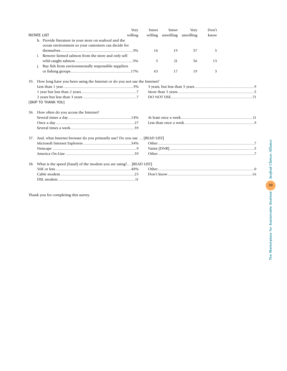|                                                                               | Very    | Smwt    | Smwt      | <b>Very</b> | Don't |  |  |
|-------------------------------------------------------------------------------|---------|---------|-----------|-------------|-------|--|--|
| <b>ROTATE LIST</b>                                                            | willing | willing | unwilling | unwilling   | know  |  |  |
| h. Provide literature in your store on seafood and the                        |         |         |           |             |       |  |  |
| ocean environment so your customers can decide for                            |         |         |           |             |       |  |  |
|                                                                               |         | 16      | 19        | 57          | 5     |  |  |
| Remove farmed salmon from the store and only sell                             |         |         |           |             |       |  |  |
|                                                                               |         | 5       | 21        | 56          | 13    |  |  |
| Buy fish from environmentally responsible suppliers                           |         |         |           |             |       |  |  |
|                                                                               |         | 43      | 17        | 19          | 3     |  |  |
| 35. How long have you been using the Internet or do you not use the Internet? |         |         |           |             |       |  |  |
|                                                                               |         |         |           |             |       |  |  |
|                                                                               |         |         |           |             |       |  |  |
|                                                                               |         |         |           |             |       |  |  |
| [SKIP TO THANK YOU]                                                           |         |         |           |             |       |  |  |
|                                                                               |         |         |           |             |       |  |  |
| 36. How often do you access the Internet?                                     |         |         |           |             |       |  |  |
|                                                                               |         |         |           |             |       |  |  |
|                                                                               |         |         |           |             |       |  |  |
|                                                                               |         |         |           |             |       |  |  |
| 37. And, what Internet browser do you primarily use? Do you use  [READ LIST]  |         |         |           |             |       |  |  |
|                                                                               |         |         |           |             |       |  |  |
|                                                                               |         |         |           |             |       |  |  |
|                                                                               |         |         |           |             |       |  |  |
| 38. What is the speed (baud) of the modem you are using? [READ LIST]          |         |         |           |             |       |  |  |
|                                                                               |         |         |           |             |       |  |  |
|                                                                               |         |         |           |             |       |  |  |
|                                                                               |         |         |           |             |       |  |  |
|                                                                               |         |         |           |             |       |  |  |

Thank you for completing this survey.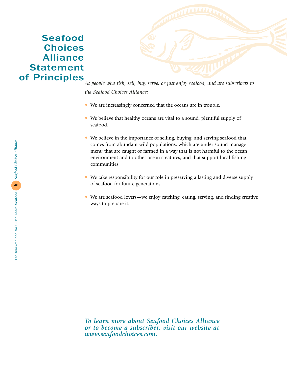# Seafood **Choices** Alliance Statement of Principles



*As people who fish, sell, buy, serve, or just enjoy seafood, and are subscribers to the Seafood Choices Alliance:*

- We are increasingly concerned that the oceans are in trouble.
- We believe that healthy oceans are vital to a sound, plentiful supply of seafood.
- We believe in the importance of selling, buying, and serving seafood that comes from abundant wild populations; which are under sound management; that are caught or farmed in a way that is not harmful to the ocean environment and to other ocean creatures; and that support local fishing communities.
- We take responsibility for our role in preserving a lasting and diverse supply of seafood for future generations.
- We are seafood lovers—we enjoy catching, eating, serving, and finding creative ways to prepare it.

*To learn more about Seafood Choices Alliance or to become a subscriber, visit our website at www.seafoodchoices.com.*